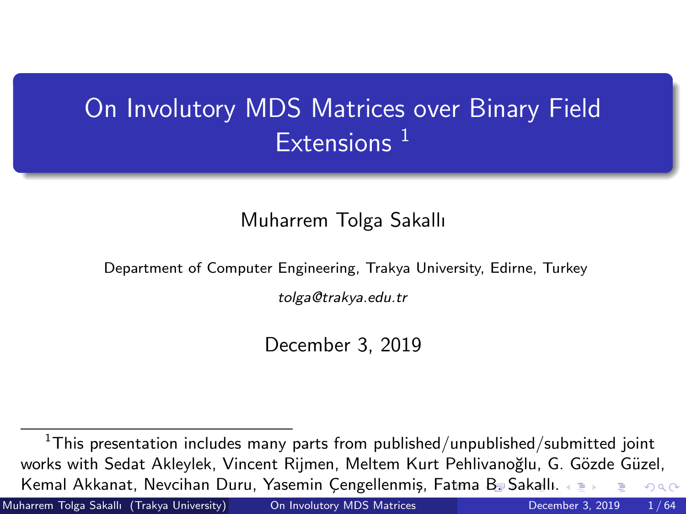### <span id="page-0-0"></span>On Involutory MDS Matrices over Binary Field  $Extensions<sup>1</sup>$

#### Muharrem Tolga Sakallı

Department of Computer Engineering, Trakya University, Edirne, Turkey

tolga@trakya.edu.tr

December 3, 2019

 $1$ This presentation includes many parts from published/unpublished/submitted joint works with Sedat Akleylek, Vincent Rijmen, Meltem Kurt Pehlivanoğlu, G. Gözde Güzel, Kemal Akkanat, Nevcihan Duru, Yasemin Çengellenmiş, [Fat](#page-0-0)[ma](#page-1-0) [B.](#page-0-0) [S](#page-1-0)[aka](#page-0-0)[ll](#page-9-0)[ı.](#page-10-0)  $QQ$ 

Muharrem Tolga Sakallı (Trakya University) [On Involutory MDS Matrices](#page-63-0) December 3, 2019 1/64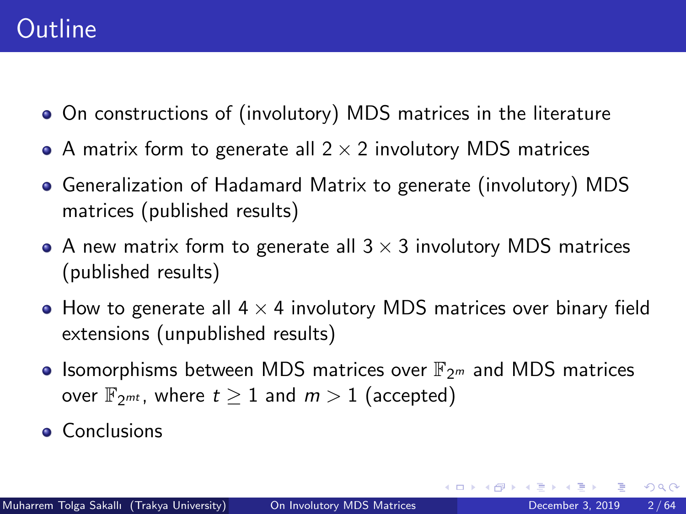### <span id="page-1-0"></span>**Outline**

- On constructions of (involutory) MDS matrices in the literature
- A matrix form to generate all  $2 \times 2$  involutory MDS matrices
- Generalization of Hadamard Matrix to generate (involutory) MDS matrices (published results)
- A new matrix form to generate all  $3 \times 3$  involutory MDS matrices (published results)
- How to generate all  $4 \times 4$  involutory MDS matrices over binary field extensions (unpublished results)
- Isomorphisms between MDS matrices over  $\mathbb{F}_{2^m}$  and MDS matrices over  $\mathbb{F}_{2^{mt}}$ , where  $t \geq 1$  and  $m > 1$  (accepted)
- **Conclusions**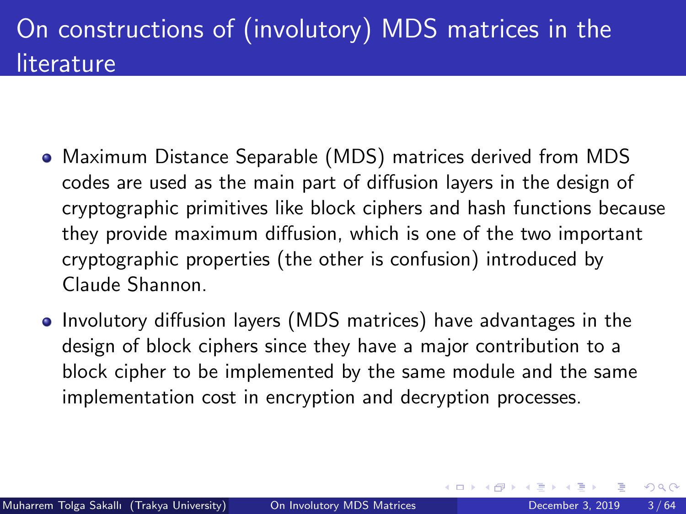- Maximum Distance Separable (MDS) matrices derived from MDS codes are used as the main part of diffusion layers in the design of cryptographic primitives like block ciphers and hash functions because they provide maximum diffusion, which is one of the two important cryptographic properties (the other is confusion) introduced by Claude Shannon.
- Involutory diffusion layers (MDS matrices) have advantages in the design of block ciphers since they have a major contribution to a block cipher to be implemented by the same module and the same implementation cost in encryption and decryption processes.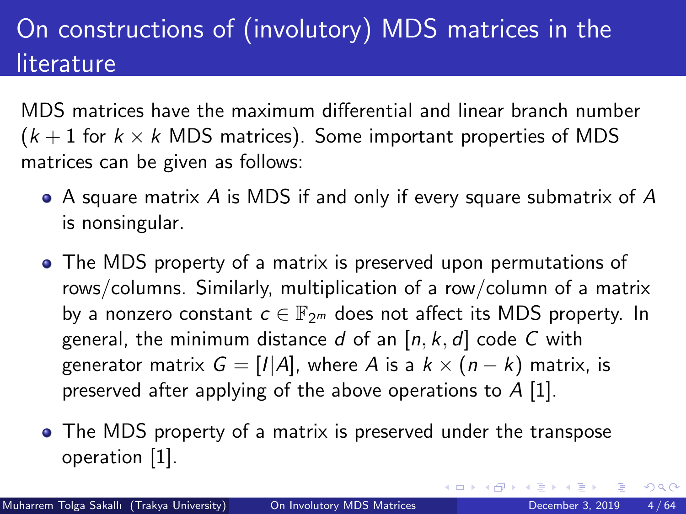MDS matrices have the maximum differential and linear branch number  $(k+1)$  for  $k \times k$  MDS matrices). Some important properties of MDS matrices can be given as follows:

- $\bullet$  A square matrix A is MDS if and only if every square submatrix of A is nonsingular.
- The MDS property of a matrix is preserved upon permutations of rows/columns. Similarly, multiplication of a row/column of a matrix by a nonzero constant  $c \in \mathbb{F}_{2^m}$  does not affect its MDS property. In general, the minimum distance d of an  $[n, k, d]$  code C with generator matrix  $G = [I|A]$ , where A is a  $k \times (n - k)$  matrix, is preserved after applying of the above operations to  $A$  [\[1\]](#page-61-0).
- The MDS property of a matrix is preserved under the transpose operation [\[1\]](#page-61-0).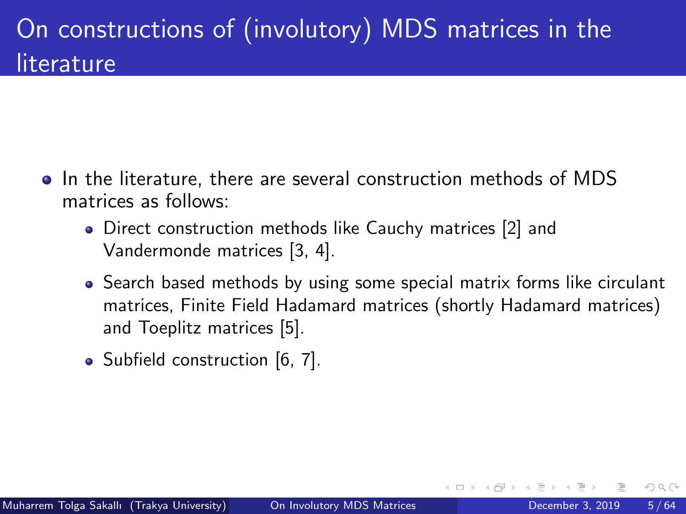- In the literature, there are several construction methods of MDS matrices as follows:
	- Direct construction methods like Cauchy matrices [\[2\]](#page-61-1) and Vandermonde matrices [\[3,](#page-61-2) [4\]](#page-61-3).
	- Search based methods by using some special matrix forms like circulant matrices, Finite Field Hadamard matrices (shortly Hadamard matrices) and Toeplitz matrices [\[5\]](#page-61-4).
	- Subfield construction [\[6,](#page-61-5) [7\]](#page-62-0).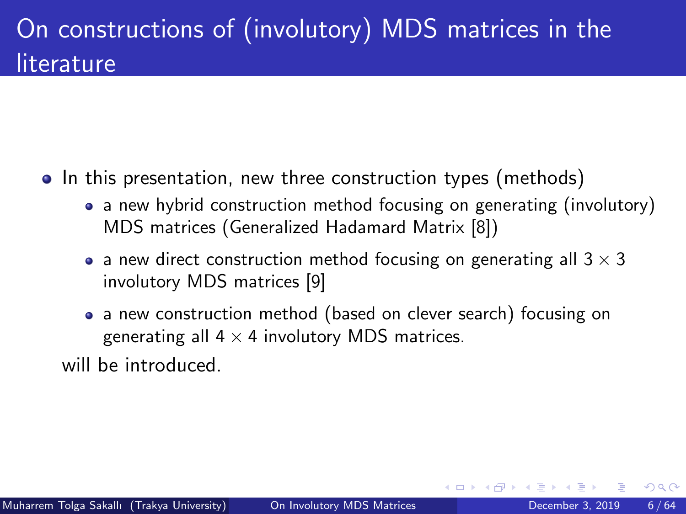- In this presentation, new three construction types (methods)
	- a new hybrid construction method focusing on generating (involutory) MDS matrices (Generalized Hadamard Matrix [\[8\]](#page-62-1))
	- a new direct construction method focusing on generating all  $3 \times 3$ involutory MDS matrices [\[9\]](#page-62-2)
	- a new construction method (based on clever search) focusing on generating all  $4 \times 4$  involutory MDS matrices.

will be introduced.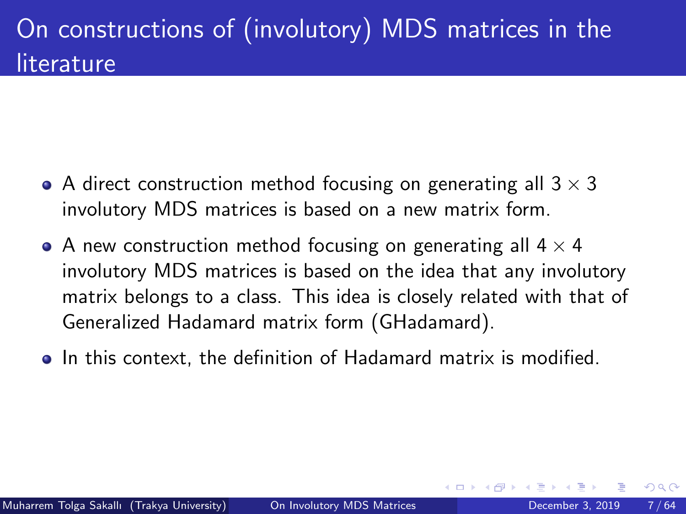- A direct construction method focusing on generating all  $3 \times 3$ involutory MDS matrices is based on a new matrix form.
- A new construction method focusing on generating all  $4 \times 4$ involutory MDS matrices is based on the idea that any involutory matrix belongs to a class. This idea is closely related with that of Generalized Hadamard matrix form (GHadamard).
- In this context, the definition of Hadamard matrix is modified.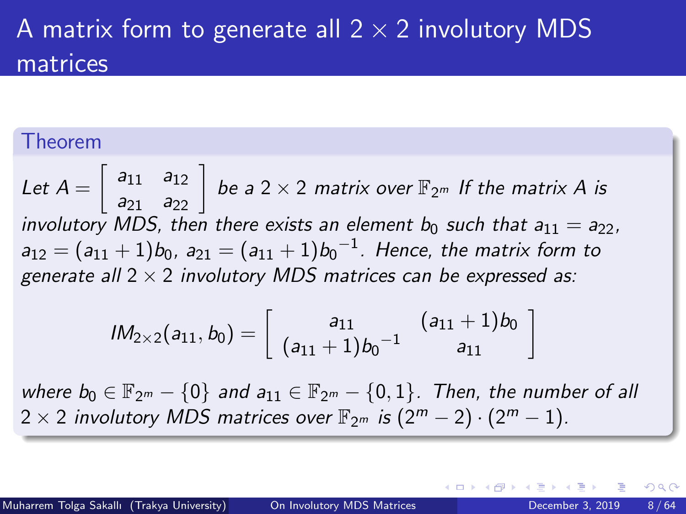### A matrix form to generate all  $2 \times 2$  involutory MDS matrices

#### Theorem

Let  $A=\left[\begin{array}{cc} a_{11}& a_{12}\ a_{21}& a_{22} \end{array}\right]$  be a 2  $\times$  2 matrix over  $\mathbb{F}_{2^m}$  If the matrix  $A$  is involutory MDS, then there exists an element  $b_0$  such that  $a_{11} = a_{22}$ .  $a_{12}=(a_{11}+1)b_0$ ,  $a_{21}=(a_{11}+1)b_0{}^{-1}$ . Hence, the matrix form to generate all  $2 \times 2$  involutory MDS matrices can be expressed as:

$$
lM_{2\times2}(a_{11},b_0)=\left[\begin{array}{cc}a_{11}&(a_{11}+1)b_0\\(a_{11}+1)b_0^{-1}&a_{11}\end{array}\right]
$$

where  $b_0 \in \mathbb{F}_{2^m} - \{0\}$  and  $a_{11} \in \mathbb{F}_{2^m} - \{0,1\}$ . Then, the number of all  $2 \times 2$  involutory MDS matrices over  $\mathbb{F}_{2^m}$  is  $(2^m - 2) \cdot (2^m - 1)$ .

つひひ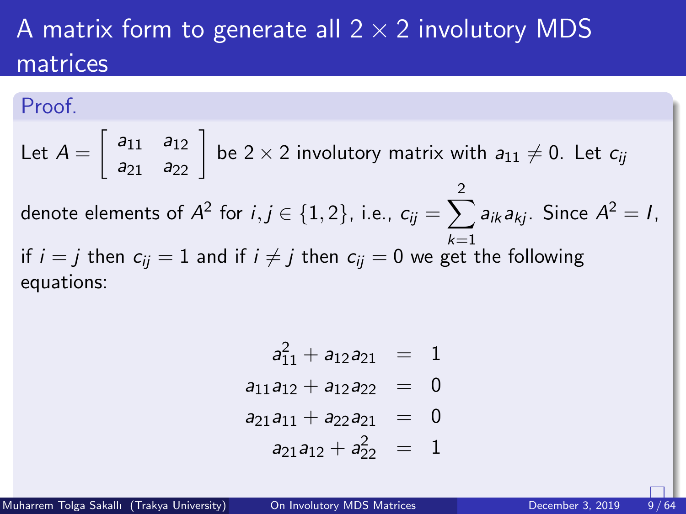### A matrix form to generate all  $2 \times 2$  involutory MDS matrices

#### Proof.

Let 
$$
A = \begin{bmatrix} a_{11} & a_{12} \ a_{21} & a_{22} \end{bmatrix}
$$
 be  $2 \times 2$  involutory matrix with  $a_{11} \neq 0$ . Let  $c_{ij}$   
denote elements of  $A^2$  for  $i, j \in \{1, 2\}$ , i.e.,  $c_{ij} = \sum_{k=1}^2 a_{ik} a_{kj}$ . Since  $A^2 = I$ ,  
if  $i = j$  then  $c_{ij} = 1$  and if  $i \neq j$  then  $c_{ij} = 0$  we get the following  
equations:

$$
a_{11}^2 + a_{12}a_{21} = 1
$$

$$
a_{11}a_{12}+a_{12}a_{22} = 0
$$

$$
a_{21}a_{11}+a_{22}a_{21} = 0
$$

$$
a_{21}a_{12}+a_{22}^2 = 1
$$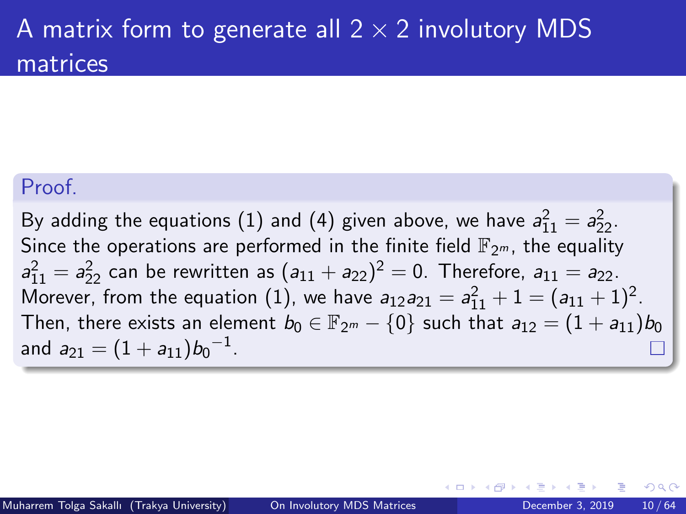### <span id="page-9-0"></span>A matrix form to generate all  $2 \times 2$  involutory MDS matrices

#### Proof.

By adding the equations (1) and (4) given above, we have  $a_{11}^2 = a_{22}^2$ . Since the operations are performed in the finite field  $\mathbb{F}_{2m}$ , the equality  $a_{11}^2 = a_{22}^2$  can be rewritten as  $(a_{11} + a_{22})^2 = 0$ . Therefore,  $a_{11} = a_{22}$ . Morever, from the equation (1), we have  $a_{12}a_{21} = a_{11}^2 + 1 = (a_{11} + 1)^2$ . Then, there exists an element  $b_0 \in \mathbb{F}_{2^m} - \{0\}$  such that  $a_{12} = (1 + a_{11})b_0$ and  $a_{21} = (1 + a_{11})b_0^{-1}$ .

つへへ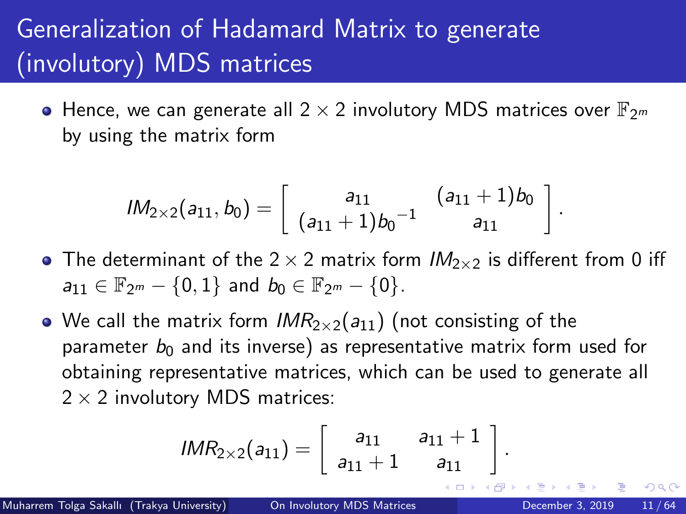<span id="page-10-0"></span>• Hence, we can generate all  $2 \times 2$  involutory MDS matrices over  $\mathbb{F}_{2^m}$ by using the matrix form

$$
lM_{2\times2}(a_{11},b_0)=\left[\begin{array}{cc}a_{11}&(a_{11}+1)b_0\\(a_{11}+1)b_0^{-1}&a_{11}\end{array}\right]
$$

- The determinant of the  $2 \times 2$  matrix form  $IM_{2 \times 2}$  is different from 0 iff  $a_{11} \in \mathbb{F}_{2m} - \{0,1\}$  and  $b_0 \in \mathbb{F}_{2m} - \{0\}$ .
- We call the matrix form  $IMR_{2\times 2}(a_{11})$  (not consisting of the parameter  $b_0$  and its inverse) as representative matrix form used for obtaining representative matrices, which can be used to generate all  $2 \times 2$  involutory MDS matrices:

$$
IMR_{2\times 2}(a_{11})=\left[\begin{array}{cc}a_{11}&a_{11}+1\\a_{11}+1&a_{11}\end{array}\right]
$$

 $200$ 

.

.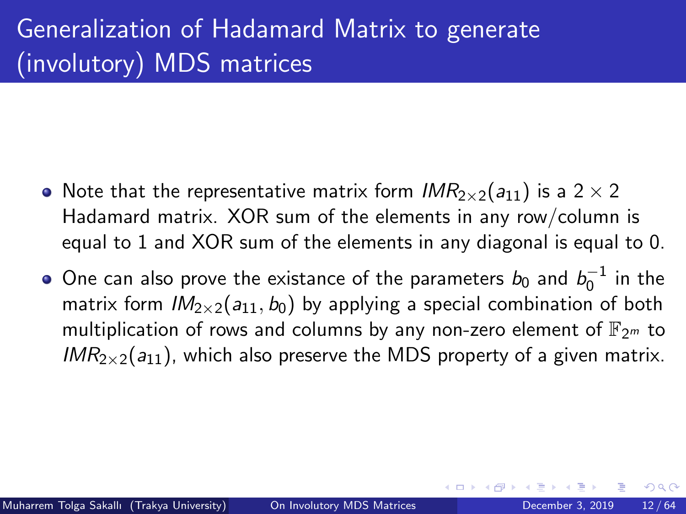- Note that the representative matrix form  $IMR_{2\times 2}(a_{11})$  is a 2  $\times$  2 Hadamard matrix. XOR sum of the elements in any row/column is equal to 1 and XOR sum of the elements in any diagonal is equal to 0.
- One can also prove the existance of the parameters  $b_0$  and  $b_0^{-1}$  in the matrix form  $IM_{2\times 2}(a_{11}, b_0)$  by applying a special combination of both multiplication of rows and columns by any non-zero element of  $\mathbb{F}_{2m}$  to  $IMR_{2\times2}(a_{11})$ , which also preserve the MDS property of a given matrix.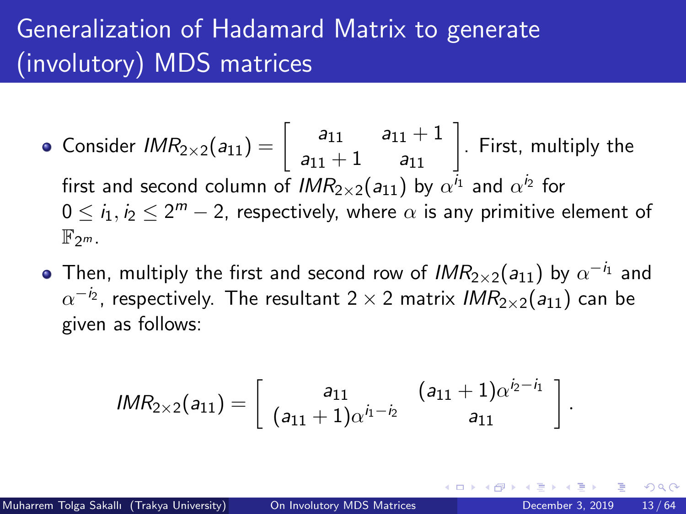- Consider  $\mathit{IMR}_{2\times 2}(a_{11}) = \left[\begin{array}{cc} a_{11} & a_{11}+1\ a_{11}+1 & a_{11} \end{array}\right].$  First, multiply the first and second column of  $\mathit{IMR}_{2\times2}(a_{11})$  by  $\alpha^{i_1}$  and  $\alpha^{i_2}$  for  $0\leq i_1,i_2\leq 2^m-2$ , respectively, where  $\alpha$  is any primitive element of  $\mathbb{F}_{2^m}$ .
- Then, multiply the first and second row of  $\mathit{IMR}_{2\times2}(a_{11})$  by  $\alpha^{-i_1}$  and  $\alpha^{-i_2}$ , respectively. The resultant 2  $\times$  2 matrix *IMR*2 $\times$ 2(*a*11) can be given as follows:

$$
IMR_{2\times 2}(a_{11})=\left[\begin{array}{cc}a_{11}&(a_{11}+1)\alpha^{i_2-i_1}\\(a_{11}+1)\alpha^{i_1-i_2}&a_{11}\end{array}\right].
$$

つへへ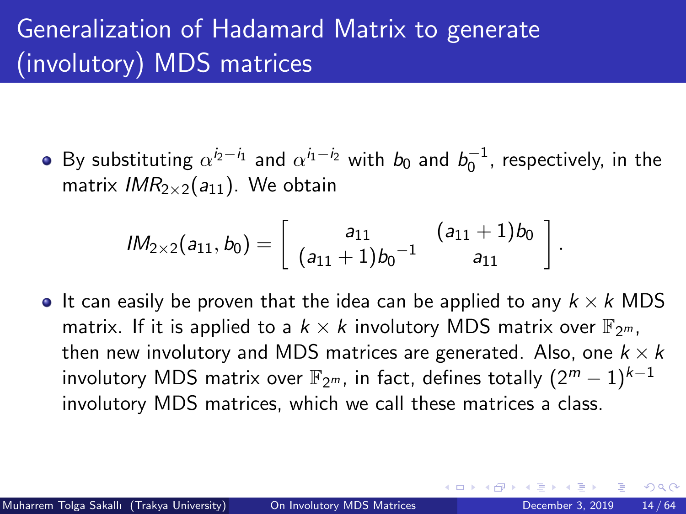By substituting  $\alpha^{i_2-i_1}$  and  $\alpha^{i_1-i_2}$  with  $b_0$  and  $b_0^{-1}$ , respectively, in the matrix  $IMR_{2\times 2}(a_{11})$ . We obtain

$$
lM_{2\times2}(a_{11},b_0)=\left[\begin{array}{cc}a_{11}&(a_{11}+1)b_0\\(a_{11}+1)b_0^{-1}&a_{11}\end{array}\right]
$$

If can easily be proven that the idea can be applied to any  $k \times k$  MDS matrix. If it is applied to a  $k \times k$  involutory MDS matrix over  $\mathbb{F}_{2^m}$ , then new involutory and MDS matrices are generated. Also, one  $k \times k$ involutory MDS matrix over  $\mathbb{F}_{2^m}$ , in fact, defines totally  $(2^m - 1)^{k-1}$ involutory MDS matrices, which we call these matrices a class.

 $200$ 

.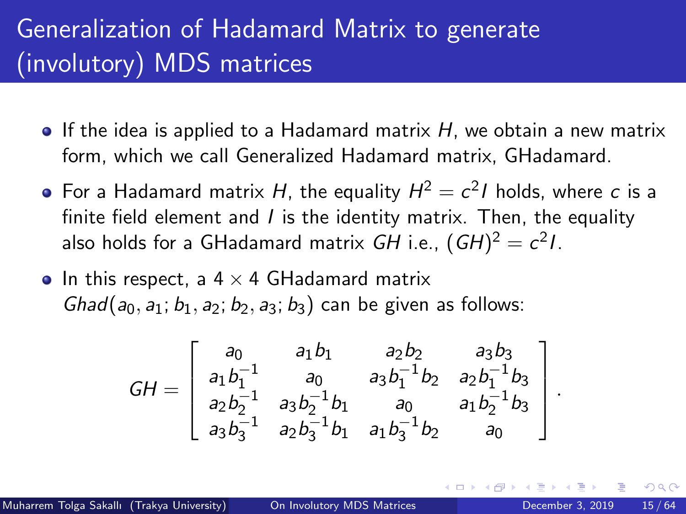- $\bullet$  If the idea is applied to a Hadamard matrix H, we obtain a new matrix form, which we call Generalized Hadamard matrix, GHadamard.
- For a Hadamard matrix  $H$ , the equality  $H^2=c^2I$  holds, where  $\emph{c}$  is a finite field element and  $I$  is the identity matrix. Then, the equality also holds for a GHadamard matrix *GH* i.e.,  $(GH)^2 = c^2 I.$
- In this respect, a  $4 \times 4$  GHadamard matrix  $Ghad(a_0, a_1; b_1, a_2; b_2, a_3; b_3)$  can be given as follows:

$$
GH = \begin{bmatrix} a_0 & a_1b_1 & a_2b_2 & a_3b_3 \ a_1b_1^{-1} & a_0 & a_3b_1^{-1}b_2 & a_2b_1^{-1}b_3 \ a_2b_2^{-1} & a_3b_2^{-1}b_1 & a_0 & a_1b_2^{-1}b_3 \ a_3b_3^{-1} & a_2b_3^{-1}b_1 & a_1b_3^{-1}b_2 & a_0 \end{bmatrix}
$$

 $200$ 

.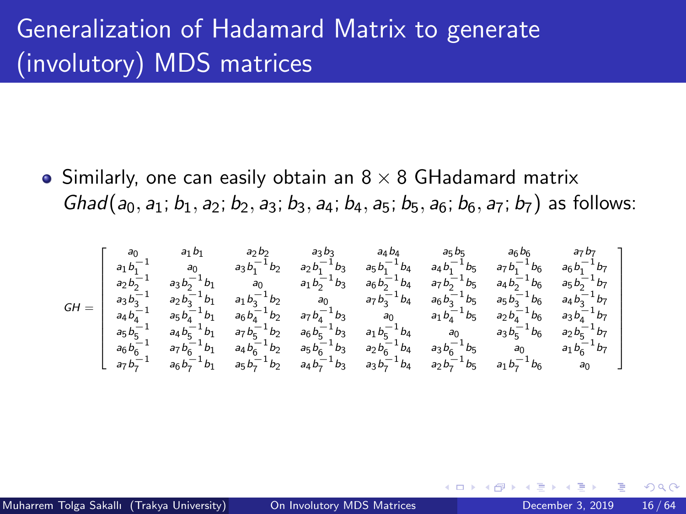• Similarly, one can easily obtain an  $8 \times 8$  GHadamard matrix Ghad(a<sub>0</sub>, a<sub>1</sub>; b<sub>1</sub>, a<sub>2</sub>; b<sub>2</sub>, a<sub>3</sub>; b<sub>3</sub>, a<sub>4</sub>; b<sub>4</sub>, a<sub>5</sub>; b<sub>5</sub>, a<sub>6</sub>; b<sub>6</sub>, a<sub>7</sub>; b<sub>7</sub>) as follows:

$$
\textit{GH} = \left[ \begin{matrix} \begin{matrix} a_0 & a_1b_1 & a_2b_2 & a_3b_3 & a_4b_4 & a_5b_5 & a_6b_6 & a_7b_7 \\ a_1b_1^{-1} & a_0 & a_3b_1^{-1}b_2 & a_2b_1^{-1}b_3 & a_5b_1^{-1}b_4 & a_4b_1^{-1}b_5 & a_7b_1^{-1}b_6 & a_6b_1^{-1}b_7 \\ a_2b_2^{-1} & a_3b_2^{-1}b_1 & a_0 & a_1b_2^{-1}b_3 & a_6b_2^{-1}b_4 & a_7b_2^{-1}b_5 & a_4b_2^{-1}b_6 & a_5b_2^{-1}b_7 \\ a_3b_3^{-1} & a_2b_3^{-1}b_1 & a_1b_3^{-1}b_2 & a_0 & a_7b_3^{-1}b_4 & a_6b_3^{-1}b_5 & a_5b_3^{-1}b_6 & a_4b_3^{-1}b_7 \\ a_4b_4^{-1} & a_5b_4^{-1}b_1 & a_6b_4^{-1}b_2 & a_7b_4^{-1}b_3 & a_1b_4^{-1}b_5 & a_5b_3^{-1}b_6 & a_4b_3^{-1}b_7 \\ a_5b_3^{-1} & a_4b_5^{-1}b_1 & a_7b_5^{-1}b_2 & a_6b_5^{-1}b_3 & a_1b_5^{-1}b_4 & a_0 & a_3b_5^{-1}b_6 & a_2b_5^{-1}b_7 \\ a_6b_6^{-1} & a_7b_6^{-1}b_1 & a_4b_6^{-1}b_2 & a_5b_6^{-1}b_3 & a_2b_6^{-1}b_4 & a_3b_6^{-1}b_5 & a_0 & a_1b_6^{-1}b_7 \\ a_7b_7^{-1} & a_6b_7^{-1}b_1 & a_5b_7^{-1}b_2 & a_4b_7^{-1}b_3 & a_3b_7^{-1}b_4 & a_2b_7^{-1}b_5 & a_1b_7^{-1}b_6 & a_0 & a_1b_6^{-1}b_7 \\ \end{matrix} \right]
$$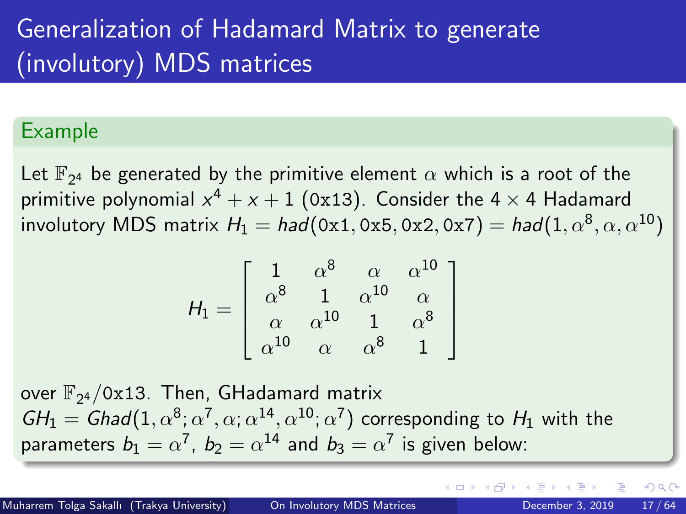#### Example

Let  $\mathbb{F}_{2^4}$  be generated by the primitive element  $\alpha$  which is a root of the primitive polynomial  $x^4+x+1$  (0x13). Consider the 4  $\times$  4 Hadamard involutory MDS matrix  $\mathcal{H}_1 = \mathit{had}(\allowbreak 0\text{x}1, \allowbreak 0\text{x}5, \allowbreak 0\text{x}2, \allowbreak 0\text{x}7) = \mathit{had}(1, \allowbreak \alpha^8, \allowbreak \alpha, \allowbreak \alpha^{10})$ 

$$
H_1 = \left[ \begin{array}{cccc} 1 & \alpha^8 & \alpha & \alpha^{10} \\ \alpha^8 & 1 & \alpha^{10} & \alpha \\ \alpha & \alpha^{10} & 1 & \alpha^8 \\ \alpha^{10} & \alpha & \alpha^8 & 1 \end{array} \right]
$$

over  $\mathbb{F}_{2^4}/\texttt{0x13}$ . Then, GHadamard matrix  $GH_1 = \textit{Ghad}(1, \alpha^8; \alpha^7, \alpha; \alpha^{14}, \alpha^{10}; \alpha^7)$  corresponding to  $H_1$  with the parameters  $b_1=\alpha^7$ ,  $b_2=\alpha^{14}$  and  $b_3=\alpha^7$  is given below: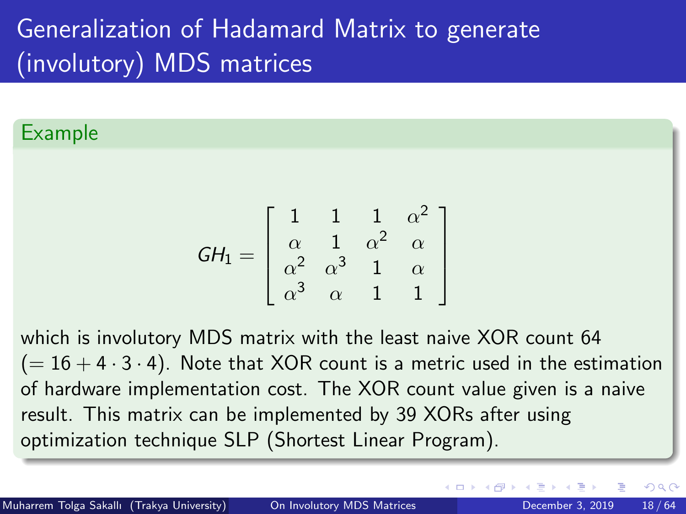#### Example

$$
GH_1 = \left[ \begin{array}{cccc} 1 & 1 & 1 & \alpha^2 \\ \alpha & 1 & \alpha^2 & \alpha \\ \alpha^2 & \alpha^3 & 1 & \alpha \\ \alpha^3 & \alpha & 1 & 1 \end{array} \right]
$$

which is involutory MDS matrix with the least naive XOR count 64  $(= 16 + 4 \cdot 3 \cdot 4)$ . Note that XOR count is a metric used in the estimation of hardware implementation cost. The XOR count value given is a naive result. This matrix can be implemented by 39 XORs after using optimization technique SLP (Shortest Linear Program).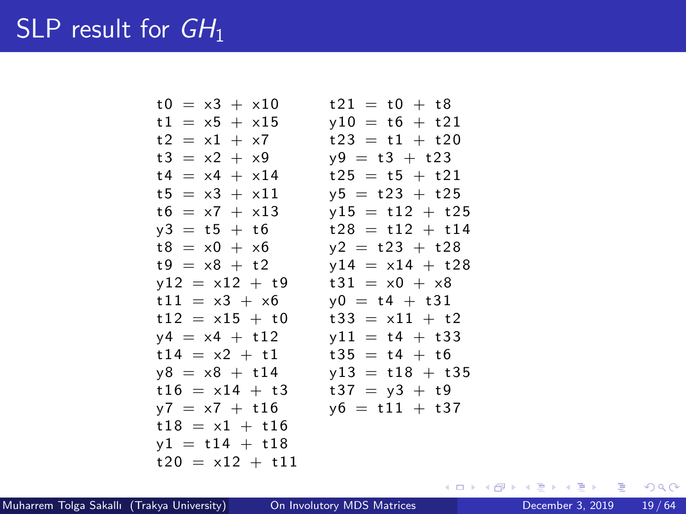### <span id="page-18-0"></span>SLP result for  $GH_1$

 $t0 = x3 + x10$   $t21 = t0 + t8$  $t1 = x5 + x15$   $y10 = t6 + t21$  $t2 = x1 + x7$   $t23 = t1 + t20$  $t3 = x2 + x9$   $y9 = t3 + t23$  $t4 = x4 + x14$   $t25 = t5 + t21$  $t5 = x3 + x11$   $v5 = t23 + t25$  $t6 = x7 + x13$   $y15 = t12 + t25$  $v3 = t5 + t6$   $t28 = t12 + t14$  $t8 = x0 + x6$   $v2 = t23 + t28$  $t9 = x8 + t2$   $y14 = x14 + t28$  $v12 = x12 + t9$   $t31 = x0 + x8$  $t11 = x3 + x6$   $v0 = t4 + t31$  $t12 = x15 + t0$   $t33 = x11 + t2$  $y4 = x4 + t12$   $y11 = t4 + t33$  $t14 = x2 + t1$   $t35 = t4 + t6$  $y8 = x8 + t14$   $y13 = t18 + t35$  $t16 = x14 + t3$   $t37 = y3 + t9$  $y7 = x7 + t16$   $y6 = t11 + t37$  $t18 = x1$  $v1 = t14$  $t 20 = x 12$ 

$$
4 + 13 \t37 = 93
$$
\n
$$
+ 16 \t 16 \t 11
$$
\n
$$
+ 16
$$
\n
$$
+ 16
$$
\n
$$
+ 11
$$
\n
$$
2 + 111
$$
\nOn Involutory MDS Matrix

Muharrem Tolga Sakallı (Trakya University) [On Involutory MDS Matrices](#page-0-0) December 3, 2019 19/64

→ 4 E +

∢ □ ▶ ∢ <sup>□</sup> ▶ ∢ ∃

 $\Omega$ 

æ.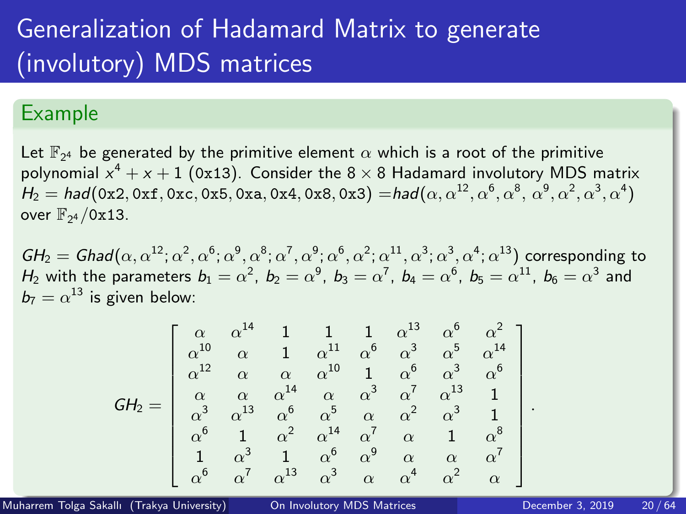#### <span id="page-19-0"></span>Example

Let  $\mathbb{F}_{2^4}$  be generated by the primitive element  $\alpha$  which is a root of the primitive polynomial  $x^4+x+1$  (0x13). Consider the 8  $\times$  8 Hadamard involutory MDS matrix  $\mathcal{H}_2=\textit{had}($  0x2, 0xf, 0xc, 0x5, 0xa, 0x4, 0x8, 0x3)  $=\textit{had}(\alpha,\alpha^{12},\alpha^6,\alpha^8,\alpha^9,\alpha^2,\alpha^3,\alpha^4)$ over  $\mathbb{F}_{2^4}/0x13$ .

 $GH_2=Ghad(\alpha,\alpha^{12};\alpha^2,\alpha^6;\alpha^9,\alpha^8;\alpha^7,\alpha^9;\alpha^6,\alpha^2;\alpha^{11},\alpha^3;\alpha^3,\alpha^4;\alpha^{13})$  corresponding to  $H_2$  with the parameters  $b_1=\alpha^2,~b_2=\alpha^9,~b_3=\alpha^7,~b_4=\alpha^6,~b_5=\alpha^{11},~b_6=\alpha^3$  and  $b_7 = \alpha^{13}$  is given below:

$$
\textit{GH}_{2} = \left[ \begin{array}{ccccccccc} \alpha & \alpha^{14} & 1 & 1 & 1 & \alpha^{13} & \alpha^{6} & \alpha^{2}\\ \alpha^{10} & \alpha & 1 & \alpha^{11} & \alpha^{6} & \alpha^{3} & \alpha^{5} & \alpha^{14}\\ \alpha^{12} & \alpha & \alpha & \alpha^{10} & 1 & \alpha^{6} & \alpha^{3} & \alpha^{6}\\ \alpha & \alpha & \alpha^{14} & \alpha & \alpha^{3} & \alpha^{7} & \alpha^{13} & 1\\ \alpha^{3} & \alpha^{13} & \alpha^{6} & \alpha^{5} & \alpha & \alpha^{2} & \alpha^{3} & 1\\ \alpha^{6} & 1 & \alpha^{2} & \alpha^{14} & \alpha^{7} & \alpha & 1 & \alpha^{8}\\ 1 & \alpha^{3} & 1 & \alpha^{6} & \alpha^{9} & \alpha & \alpha & \alpha^{7}\\ \alpha^{6} & \alpha^{7} & \alpha^{13} & \alpha^{3} & \alpha & \alpha^{4} & \alpha^{2} & \alpha \end{array} \right]
$$

Muharrem Tolga Sakallı (Trakya University) [On Involutory MDS Matrices](#page-0-0) December 3, 2019 20/64

.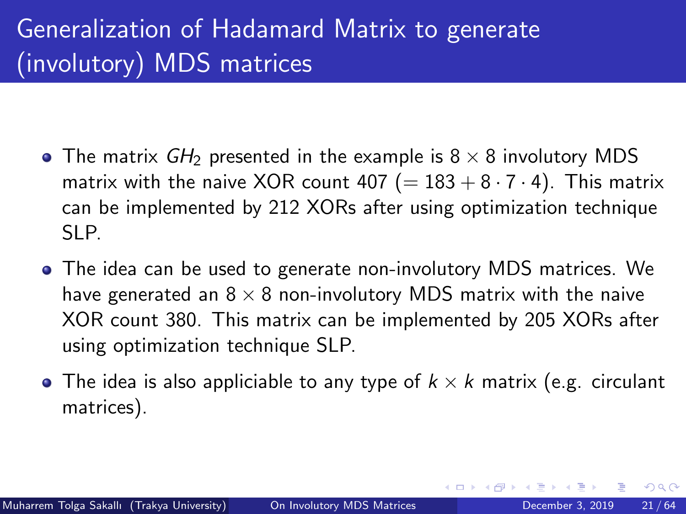- The matrix  $GH_2$  presented in the example is  $8 \times 8$  involutory MDS matrix with the naive XOR count 407 (=  $183 + 8 \cdot 7 \cdot 4$ ). This matrix can be implemented by 212 XORs after using optimization technique SLP.
- The idea can be used to generate non-involutory MDS matrices. We have generated an  $8 \times 8$  non-involutory MDS matrix with the naive XOR count 380. This matrix can be implemented by 205 XORs after using optimization technique SLP.
- The idea is also appliciable to any type of  $k \times k$  matrix (e.g. circulant matrices).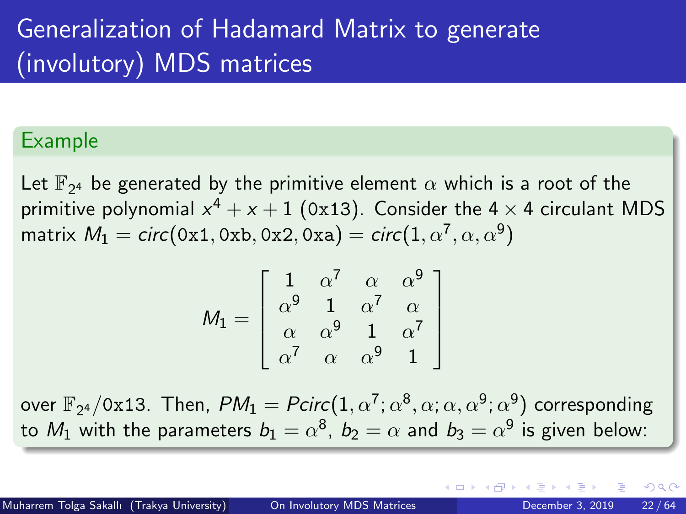#### Example

Let  $\mathbb{F}_{2^4}$  be generated by the primitive element  $\alpha$  which is a root of the primitive polynomial  $x^4 + x + 1$  (0x13). Consider the 4  $\times$  4 circulant MDS matrix  $\mathit{M}_{1}=$   $circ(\texttt{0x1}, \texttt{0xb}, \texttt{0x2}, \texttt{0xa})=$   $circ(1, \alpha^{7}, \alpha, \alpha^{9})$ 

$$
M_1 = \left[ \begin{array}{cccc} 1 & \alpha^7 & \alpha & \alpha^9 \\ \alpha^9 & 1 & \alpha^7 & \alpha \\ \alpha & \alpha^9 & 1 & \alpha^7 \\ \alpha^7 & \alpha & \alpha^9 & 1 \end{array} \right]
$$

over  $\mathbb{F}_{2^4}/$ 0x13. Then,  $\mathit{PM}_1 = \mathit{Pcirc}(1, \alpha^7; \alpha^8, \alpha; \alpha, \alpha^9; \alpha^9)$  corresponding to  $M_1$  with the parameters  $b_1=\alpha^8,~b_2=\alpha$  and  $b_3=\alpha^9$  is given below:

つへへ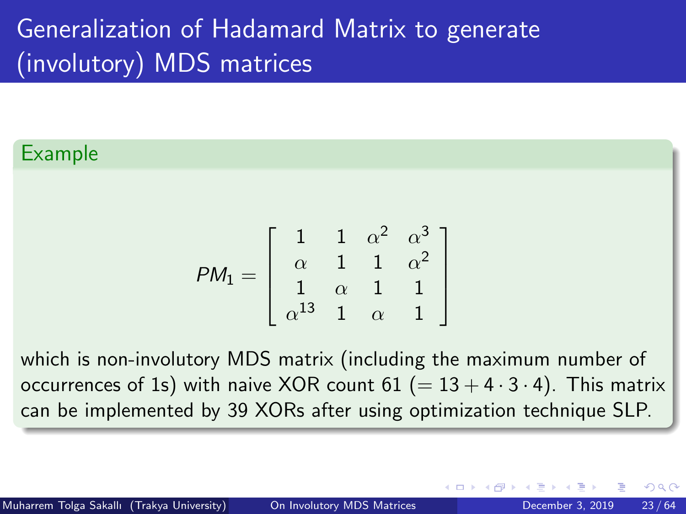#### Example

$$
PM_1 = \left[ \begin{array}{cccc} 1 & 1 & \alpha^2 & \alpha^3 \\ \alpha & 1 & 1 & \alpha^2 \\ 1 & \alpha & 1 & 1 \\ \alpha^{13} & 1 & \alpha & 1 \end{array} \right]
$$

which is non-involutory MDS matrix (including the maximum number of occurrences of 1s) with naive XOR count  $61 (= 13 + 4 \cdot 3 \cdot 4)$ . This matrix can be implemented by 39 XORs after using optimization technique SLP.

つへへ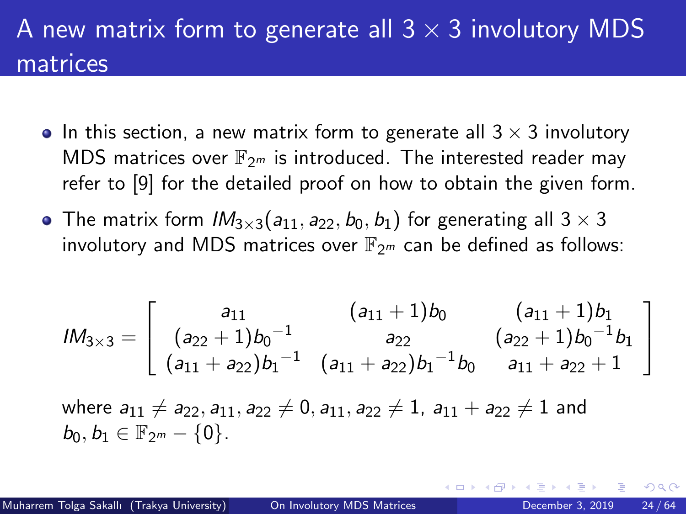### A new matrix form to generate all  $3 \times 3$  involutory MDS matrices

- In this section, a new matrix form to generate all  $3 \times 3$  involutory MDS matrices over  $\mathbb{F}_{2^m}$  is introduced. The interested reader may refer to [\[9\]](#page-62-2) for the detailed proof on how to obtain the given form.
- The matrix form  $IM_{3\times 3}(a_{11}, a_{22}, b_0, b_1)$  for generating all  $3\times 3$ involutory and MDS matrices over  $\mathbb{F}_{2^m}$  can be defined as follows:

$$
lM_{3\times 3} = \left[\begin{array}{ccc} a_{11} & (a_{11} + 1)b_0 & (a_{11} + 1)b_1 \\ (a_{22} + 1)b_0^{-1} & a_{22} & (a_{22} + 1)b_0^{-1}b_1 \\ (a_{11} + a_{22})b_1^{-1} & (a_{11} + a_{22})b_1^{-1}b_0 & a_{11} + a_{22} + 1 \end{array}\right]
$$

where  $a_{11} \neq a_{22}, a_{11}, a_{22} \neq 0, a_{11}, a_{22} \neq 1, a_{11} + a_{22} \neq 1$  and  $b_0, b_1 \in \mathbb{F}_{2^m} - \{0\}.$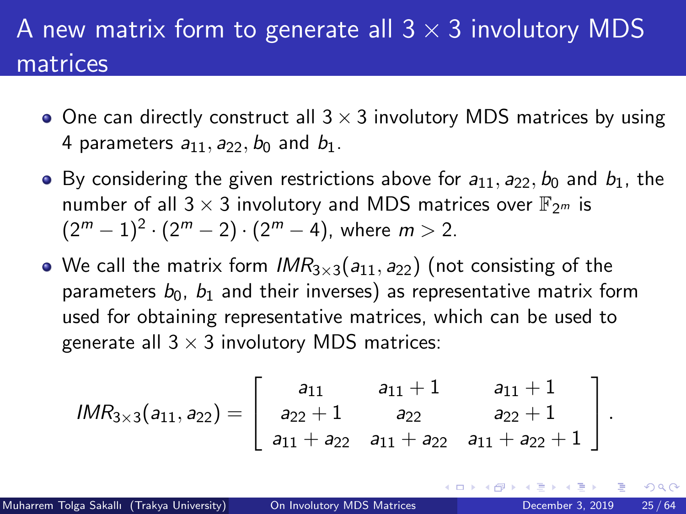### A new matrix form to generate all  $3 \times 3$  involutory MDS matrices

- $\bullet$  One can directly construct all  $3 \times 3$  involutory MDS matrices by using 4 parameters  $a_{11}$ ,  $a_{22}$ ,  $b_0$  and  $b_1$ .
- By considering the given restrictions above for  $a_{11}$ ,  $a_{22}$ ,  $b_0$  and  $b_1$ , the number of all  $3 \times 3$  involutory and MDS matrices over  $\mathbb{F}_{2^m}$  is  $(2^m-1)^2 \cdot (2^m-2) \cdot (2^m-4)$ , where  $m > 2$ .
- We call the matrix form  $IMR_{3\times 3}(a_{11}, a_{22})$  (not consisting of the parameters  $b_0$ ,  $b_1$  and their inverses) as representative matrix form used for obtaining representative matrices, which can be used to generate all  $3 \times 3$  involutory MDS matrices:

$$
IMR_{3\times3}(a_{11}, a_{22}) = \left[\begin{array}{ccc} a_{11} & a_{11}+1 & a_{11}+1 \\ a_{22}+1 & a_{22} & a_{22}+1 \\ a_{11}+a_{22} & a_{11}+a_{22} & a_{11}+a_{22}+1 \end{array}\right].
$$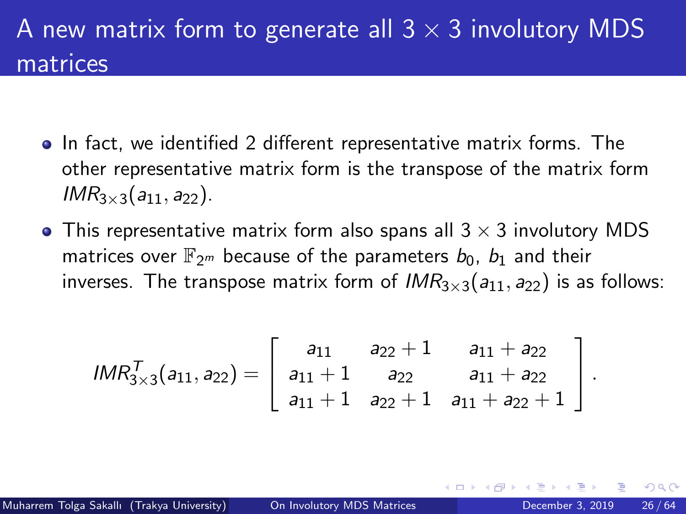### A new matrix form to generate all  $3 \times 3$  involutory MDS matrices

- In fact, we identified 2 different representative matrix forms. The other representative matrix form is the transpose of the matrix form  $IMR_{3\times3}(a_{11}, a_{22})$ .
- This representative matrix form also spans all  $3 \times 3$  involutory MDS matrices over  $\mathbb{F}_{2^m}$  because of the parameters  $b_0$ ,  $b_1$  and their inverses. The transpose matrix form of  $IMR_{3\times 3}(a_{11}, a_{22})$  is as follows:

$$
IMR_{3\times 3}^T(a_{11}, a_{22}) = \left[\begin{array}{ccc} a_{11} & a_{22}+1 & a_{11}+a_{22} \\ a_{11}+1 & a_{22} & a_{11}+a_{22} \\ a_{11}+1 & a_{22}+1 & a_{11}+a_{22}+1 \end{array}\right].
$$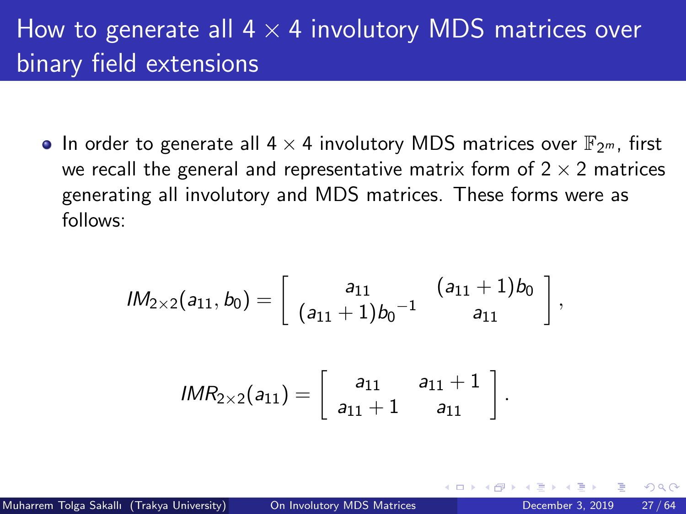• In order to generate all  $4 \times 4$  involutory MDS matrices over  $\mathbb{F}_{2^m}$ , first we recall the general and representative matrix form of  $2 \times 2$  matrices generating all involutory and MDS matrices. These forms were as follows:

$$
\mathsf{IM}_{2\times 2}(a_{11},b_0)=\left[\begin{array}{cc} a_{11}& (a_{11}+1)b_0\\[0.2cm] (a_{11}+1)b_0^{-1} & a_{11} \end{array}\right],
$$
  

$$
\mathsf{IMR}_{2\times 2}(a_{11})=\left[\begin{array}{cc} a_{11}& a_{11}+1\\[0.2cm] a_{11}+1 & a_{11} \end{array}\right].
$$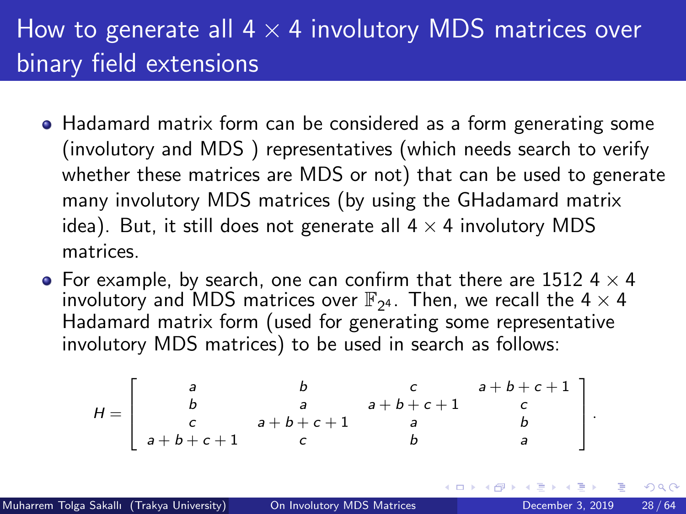- Hadamard matrix form can be considered as a form generating some (involutory and MDS ) representatives (which needs search to verify whether these matrices are MDS or not) that can be used to generate many involutory MDS matrices (by using the GHadamard matrix idea). But, it still does not generate all  $4 \times 4$  involutory MDS matrices.
- For example, by search, one can confirm that there are 1512 4  $\times$  4 involutory and MDS matrices over  $\mathbb{F}_{2^4}$ . Then, we recall the 4  $\times$  4 Hadamard matrix form (used for generating some representative involutory MDS matrices) to be used in search as follows:

$$
H = \left[ \begin{array}{cccc} a & b & c & a+b+c+1 \\ b & a & a+b+c+1 & c \\ c & a+b+c+1 & a & b \\ a+b+c+1 & c & b & a \end{array} \right]
$$

.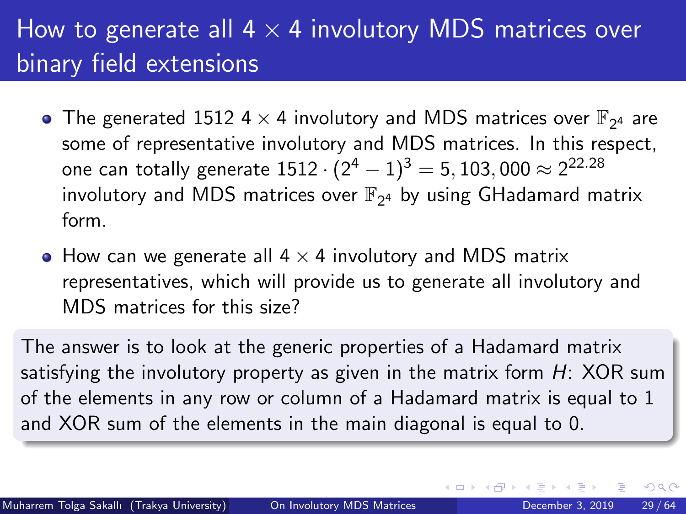- The generated 1512 4  $\times$  4 involutory and MDS matrices over  $\mathbb{F}_{2^4}$  are some of representative involutory and MDS matrices. In this respect, one can totally generate  $1512 \cdot (2^4-1)^3 = 5,103,000 \approx 2^{22.28}$ involutory and MDS matrices over  $\mathbb{F}_{2^4}$  by using GHadamard matrix form.
- How can we generate all  $4 \times 4$  involutory and MDS matrix representatives, which will provide us to generate all involutory and MDS matrices for this size?

The answer is to look at the generic properties of a Hadamard matrix satisfying the involutory property as given in the matrix form  $H$ : XOR sum of the elements in any row or column of a Hadamard matrix is equal to 1 and XOR sum of the elements in the main diagonal is equal to 0.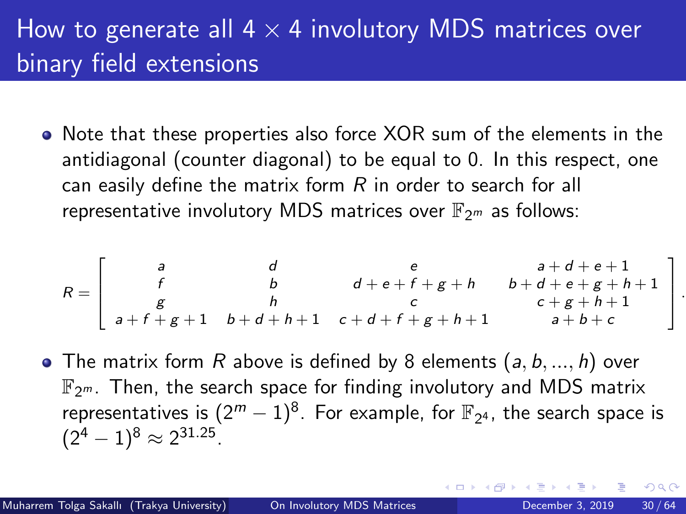• Note that these properties also force XOR sum of the elements in the antidiagonal (counter diagonal) to be equal to 0. In this respect, one can easily define the matrix form  $R$  in order to search for all representative involutory MDS matrices over  $\mathbb{F}_{2^m}$  as follows:

$$
R = \left[ \begin{array}{ccccc} a & d & e & a+d+e+1 \\ f & b & d+e+f+g+h & b+d+e+g+h+1 \\ g & h & c & c+g+h+1 \\ a+f+g+1 & b+d+h+1 & c+d+f+g+h+1 & a+b+c \end{array} \right]
$$

• The matrix form R above is defined by 8 elements  $(a, b, ..., h)$  over  $\mathbb{F}_{2^m}$ . Then, the search space for finding involutory and MDS matrix representatives is  $(2^m-1)^8$ . For example, for  $\mathbb{F}_{2^4}$ , the search space is  $(2^4-1)^8 \approx 2^{31.25}.$ 

.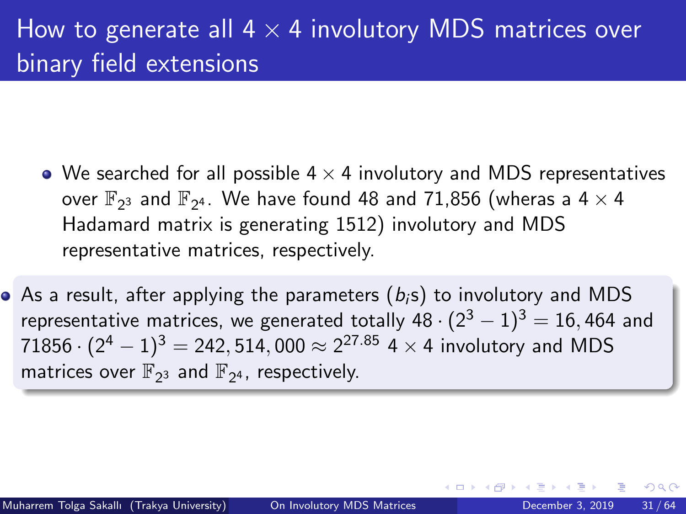- We searched for all possible  $4 \times 4$  involutory and MDS representatives over  $\mathbb{F}_{2^3}$  and  $\mathbb{F}_{2^4}.$  We have found 48 and 71,856 (wheras a 4  $\times$  4 Hadamard matrix is generating 1512) involutory and MDS representative matrices, respectively.
- As a result, after applying the parameters  $(b_i s)$  to involutory and MDS representative matrices, we generated totally  $48 \cdot (2^3 - 1)^3 = 16,464$  and  $71856 \cdot (2^4-1)^3 =$  242, 514, 000  $\approx$   $2^{27.85}$  4  $\times$  4 involutory and MDS matrices over  $\mathbb{F}_{2^3}$  and  $\mathbb{F}_{2^4}$ , respectively.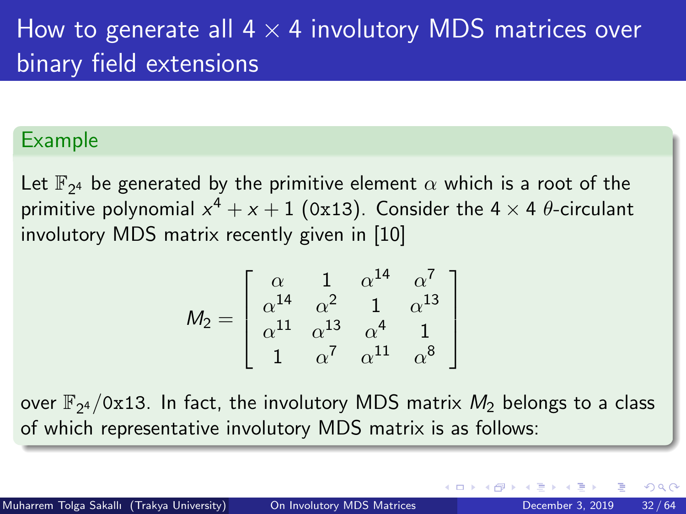#### Example

Let  $\mathbb{F}_{2^4}$  be generated by the primitive element  $\alpha$  which is a root of the primitive polynomial  $x^4+x+1$  (0x13). Consider the 4  $\times$  4  $\theta$ -circulant involutory MDS matrix recently given in [\[10\]](#page-62-3)

$$
M_2 = \left[ \begin{array}{cccc} \alpha & 1 & \alpha^{14} & \alpha^7 \\ \alpha^{14} & \alpha^2 & 1 & \alpha^{13} \\ \alpha^{11} & \alpha^{13} & \alpha^4 & 1 \\ 1 & \alpha^7 & \alpha^{11} & \alpha^8 \end{array} \right]
$$

over  $\mathbb{F}_{2^4}/\texttt{0x13}$ . In fact, the involutory MDS matrix  $M_2$  belongs to a class of which representative involutory MDS matrix is as follows: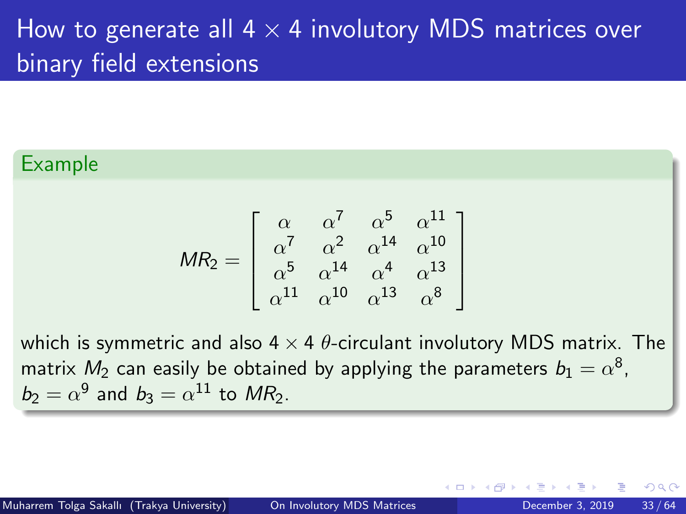#### Example

$$
MR_2 = \begin{bmatrix} \alpha & \alpha^7 & \alpha^5 & \alpha^{11} \\ \alpha^7 & \alpha^2 & \alpha^{14} & \alpha^{10} \\ \alpha^5 & \alpha^{14} & \alpha^4 & \alpha^{13} \\ \alpha^{11} & \alpha^{10} & \alpha^{13} & \alpha^8 \end{bmatrix}
$$

which is symmetric and also  $4 \times 4$   $\theta$ -circulant involutory MDS matrix. The matrix  $M_2$  can easily be obtained by applying the parameters  $b_1=\alpha^8$ ,  $b_2 = \alpha^9$  and  $b_3 = \alpha^{11}$  to  $MR_2$ .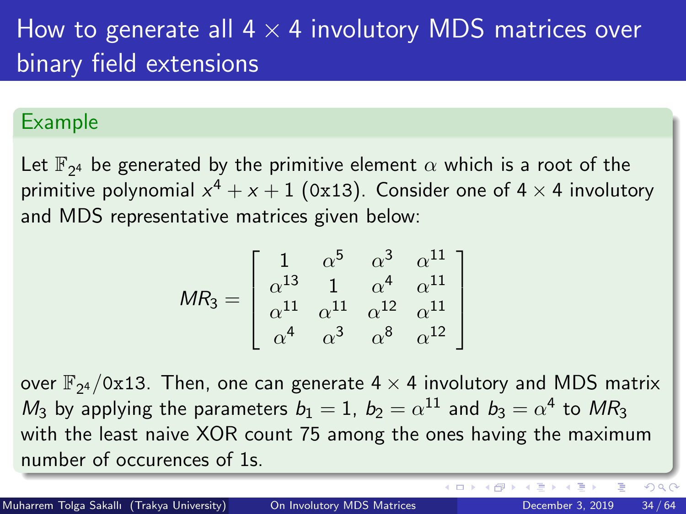#### <span id="page-33-0"></span>Example

Let  $\mathbb{F}_{2^4}$  be generated by the primitive element  $\alpha$  which is a root of the primitive polynomial  $x^4+x+1$  (0x13). Consider one of 4  $\times$  4 involutory and MDS representative matrices given below:

$$
MR_3 = \begin{bmatrix} 1 & \alpha^5 & \alpha^3 & \alpha^{11} \\ \alpha^{13} & 1 & \alpha^4 & \alpha^{11} \\ \alpha^{11} & \alpha^{11} & \alpha^{12} & \alpha^{11} \\ \alpha^4 & \alpha^3 & \alpha^8 & \alpha^{12} \end{bmatrix}
$$

over  $\mathbb{F}_{2^4}/$ 0x13. Then, one can generate 4  $\times$  4 involutory and MDS matrix  $M_3$  by applying the parameters  $b_1=1,~b_2=\alpha^{11}$  and  $b_3=\alpha^{4}$  to  $MR_3$ with the least naive XOR count 75 among the ones having the maximum number of occurences of 1s.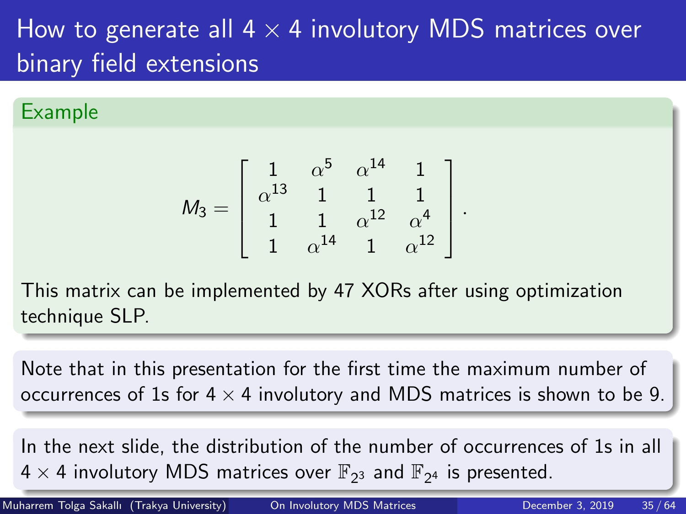#### <span id="page-34-0"></span>Example

$$
M_3 = \left[ \begin{array}{cccc} 1 & \alpha^5 & \alpha^{14} & 1 \\ \alpha^{13} & 1 & 1 & 1 \\ 1 & 1 & \alpha^{12} & \alpha^4 \\ 1 & \alpha^{14} & 1 & \alpha^{12} \end{array} \right]
$$

.

This matrix can be implemented by 47 XORs after using optimization technique SLP.

Note that in this presentation for the first time the maximum number of occurrences of 1s for  $4 \times 4$  involutory and MDS matrices is shown to be 9.

In the next slide, the distribution of the number of occurrences of 1s in all  $4\times 4$  $4\times 4$  $4\times 4$  i[n](#page-35-0)volu[t](#page-9-0)ory MDS matrices over  $\mathbb{F}_{2^3}$  and  $\mathbb{F}_{2^4}$  [is](#page-33-0) [pr](#page-35-0)e[se](#page-34-0)nte[d.](#page-63-0)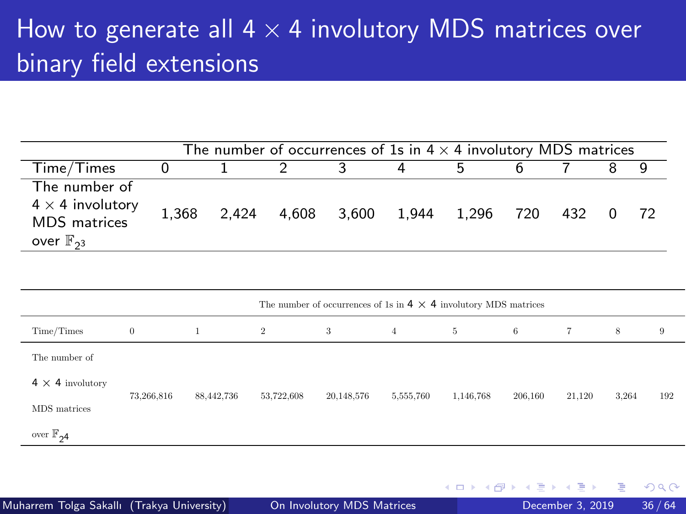<span id="page-35-0"></span>

| The number of occurrences of 1s in 4 $\times$ 4 involutory MDS matrices                   |       |                   |  |  |                 |   |  |       |  |  |
|-------------------------------------------------------------------------------------------|-------|-------------------|--|--|-----------------|---|--|-------|--|--|
| Time/Times                                                                                |       |                   |  |  | 4               | h |  |       |  |  |
| The number of<br>$4 \times 4$ involutory<br><b>MDS</b> matrices<br>over $\mathbb{F}_{23}$ | 1.368 | 2,424 4,608 3,600 |  |  | 1,944 1,296 720 |   |  | 432 0 |  |  |

|                         | The number of occurrences of 1s in $4 \times 4$ involutory MDS matrices |            |                |            |                |           |         |        |       |     |  |
|-------------------------|-------------------------------------------------------------------------|------------|----------------|------------|----------------|-----------|---------|--------|-------|-----|--|
| Time/Times              | $\overline{0}$                                                          |            | $\overline{2}$ | 3          | $\overline{4}$ | 5         | 6       | $\tau$ | 8     | 9   |  |
| The number of           |                                                                         |            |                |            |                |           |         |        |       |     |  |
| $4 \times 4$ involutory | 73,266,816                                                              | 88,442,736 | 53,722,608     |            |                |           | 206,160 |        |       | 192 |  |
| MDS matrices            |                                                                         |            |                | 20,148,576 | 5,555,760      | 1,146,768 |         | 21,120 | 3,264 |     |  |
| over $\mathbb{F}_{24}$  |                                                                         |            |                |            |                |           |         |        |       |     |  |

4 **D F** 

 $QQQ$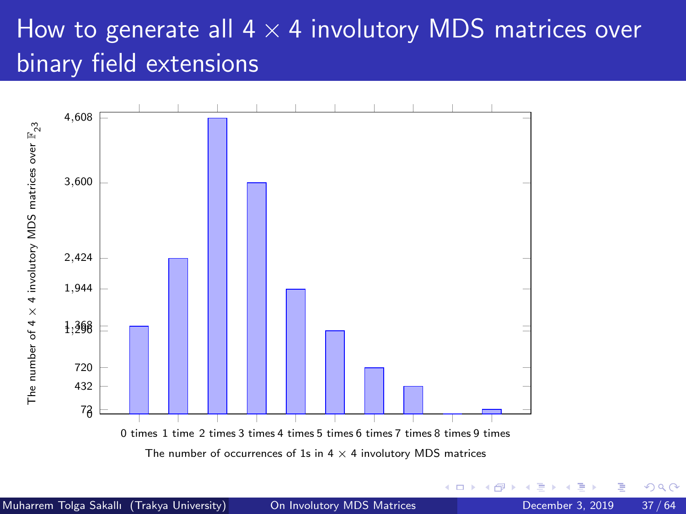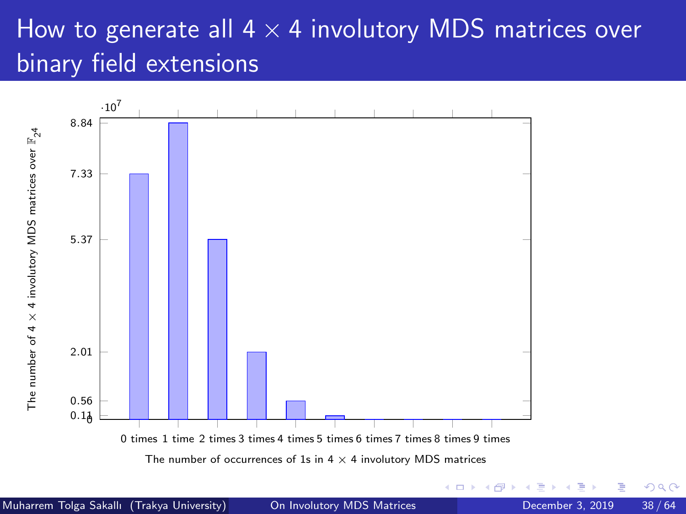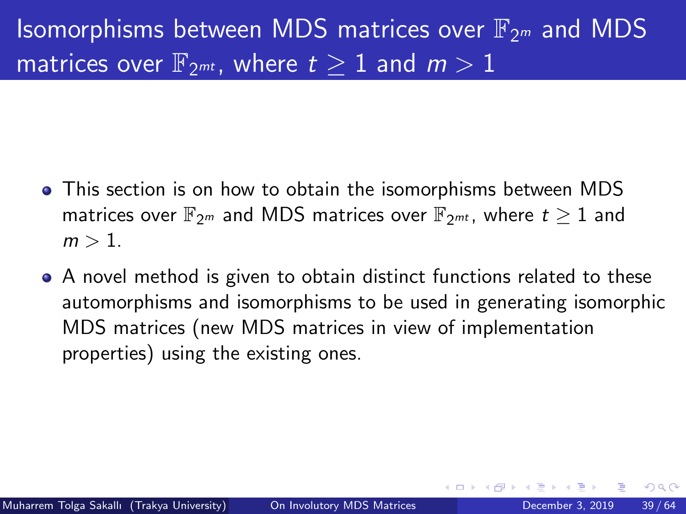- This section is on how to obtain the isomorphisms between MDS matrices over  $\mathbb{F}_{2m}$  and MDS matrices over  $\mathbb{F}_{2m}$ , where  $t \geq 1$  and  $m > 1$ .
- A novel method is given to obtain distinct functions related to these automorphisms and isomorphisms to be used in generating isomorphic MDS matrices (new MDS matrices in view of implementation properties) using the existing ones.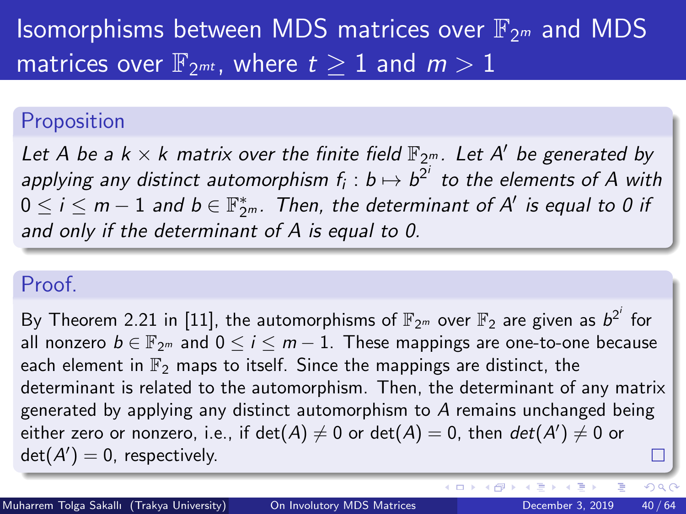#### Proposition

Let A be a  $k\times k$  matrix over the finite field  $\mathbb{F}_{2^m}$ . Let A' be generated by applying any distinct automorphism  $f_i : b \mapsto b^{2^i}$  to the elements of  $A$  with  $0\leq i\leq m-1$  and  $b\in \mathbb{F}_{2^m}^*.$  Then, the determinant of  $\mathcal{A}'$  is equal to 0 if and only if the determinant of A is equal to 0.

#### Proof.

By Theorem 2.21 in [\[11\]](#page-62-4), the automorphisms of  $\mathbb{F}_{2^m}$  over  $\mathbb{F}_2$  are given as  $b^{2^i}$  for all nonzero  $b \in \mathbb{F}_{2^m}$  and  $0 \le i \le m-1$ . These mappings are one-to-one because each element in  $\mathbb{F}_2$  maps to itself. Since the mappings are distinct, the determinant is related to the automorphism. Then, the determinant of any matrix generated by applying any distinct automorphism to  $A$  remains unchanged being either zero or nonzero, i.e., if  $\det(A)\neq 0$  or  $\det(A)=0$ , then  $\det(A')\neq 0$  or  $det(A') = 0$ , respectively. П

( 伊 )

 $QQ$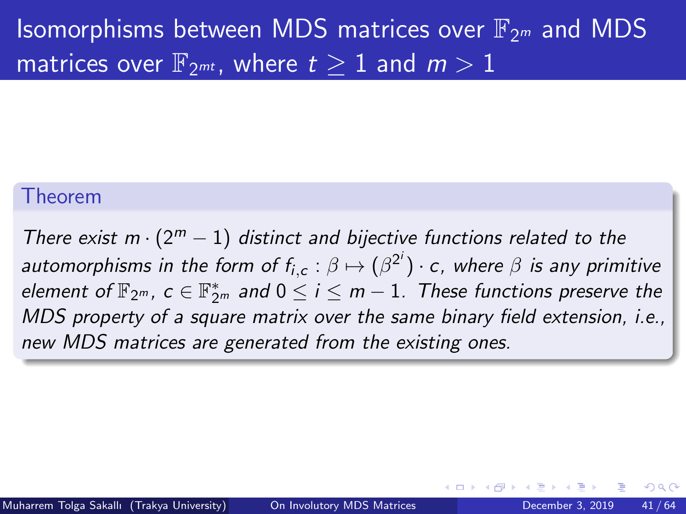#### Theorem

There exist  $m \cdot (2^m - 1)$  distinct and bijective functions related to the automorphisms in the form of  $f_{i,c}:\beta\mapsto (\beta^{2^i})\cdot c$ , where  $\beta$  is any primitive element of  $\mathbb{F}_{2^m}$ ,  $c\in \mathbb{F}_{2^m}^*$  and  $0\leq i\leq m-1.$  These functions preserve the MDS property of a square matrix over the same binary field extension, i.e., new MDS matrices are generated from the existing ones.

つひひ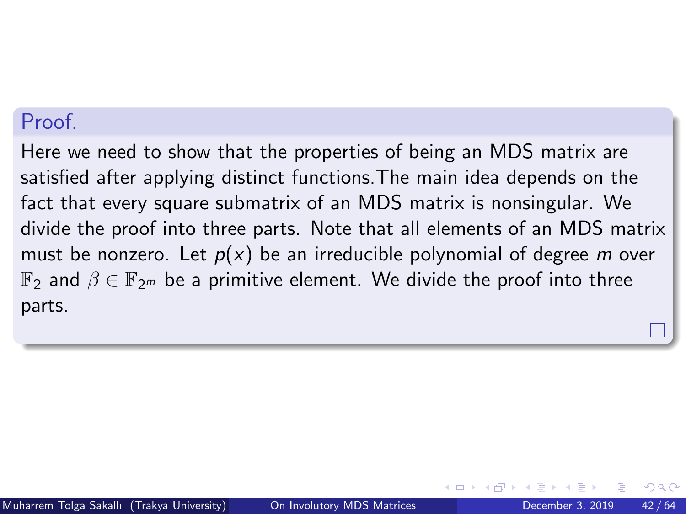#### Proof.

Here we need to show that the properties of being an MDS matrix are satisfied after applying distinct functions.The main idea depends on the fact that every square submatrix of an MDS matrix is nonsingular. We divide the proof into three parts. Note that all elements of an MDS matrix must be nonzero. Let  $p(x)$  be an irreducible polynomial of degree m over  $\mathbb{F}_2$  and  $\beta \in \mathbb{F}_{2^m}$  be a primitive element. We divide the proof into three parts.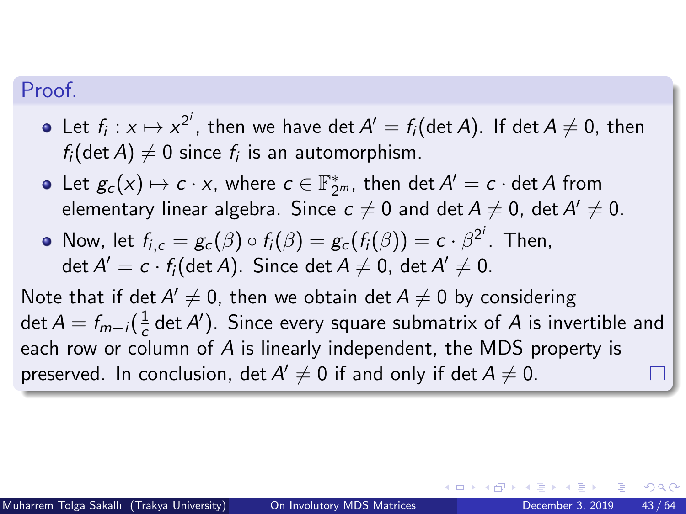#### Proof.

- Let  $f_i: x \mapsto x^{2^i}$ , then we have det  $A' = f_i(\det A)$ . If  $\det A \neq 0$ , then  $f_{i}(\operatorname{det} A) \neq 0$  since  $f_{i}$  is an automorphism.
- Let  $g_c(x) \mapsto c \cdot x$ , where  $c \in \mathbb{F}_{2^m}^*$ , then  $\det A' = c \cdot \det A$  from elementary linear algebra. Since  $\,c\neq 0$  and  $\det A\neq 0$ ,  $\det A'\neq 0.$
- Now, let  $f_{i,c} = g_c(\beta) \circ f_i(\beta) = g_c(f_i(\beta)) = c \cdot \beta^{2^i}$ . Then,  $\det A'=c\cdot f_{i}(\det A)$ . Since  $\det A\neq 0$ ,  $\det A'\neq 0$ .

Note that if det  $A'\neq 0$ , then we obtain det  $A\neq 0$  by considering  $\det A = f_{m-i}(\frac{1}{c})$  $\frac{1}{c}$  det A'). Since every square submatrix of A is invertible and each row or column of A is linearly independent, the MDS property is preserved. In conclusion, det  $A'\neq 0$  if and only if det  $A\neq 0.$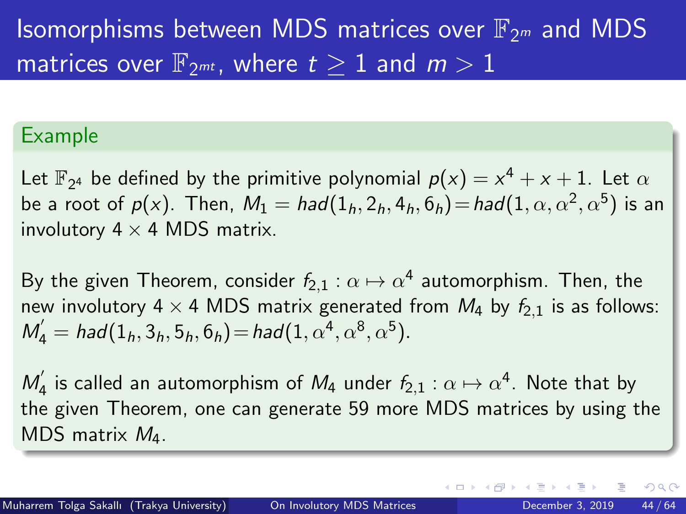#### Example

Let  $\mathbb{F}_{2^4}$  be defined by the primitive polynomial  $p(x) = x^4 + x + 1$ . Let  $\alpha$ be a root of  $p(x)$ . Then,  $M_1 = had(1_h,2_h,4_h,6_h) \!=\! had(1,\alpha,\alpha^2,\alpha^5)$  is an involutory  $4 \times 4$  MDS matrix.

By the given Theorem, consider  $f_{2,1}:\alpha\mapsto\alpha^4$  automorphism. Then, the new involutory 4  $\times$  4 MDS matrix generated from  $M_4$  by  $f_{2,1}$  is as follows:  $M_4' = had(1_h, 3_h, 5_h, 6_h) = had(1, \alpha^4, \alpha^8, \alpha^5).$ 

 $M_{4}^{'}$  $a_{4}^{'}$  is called an automorphism of  $M_{4}$  under  $f_{2,1}:\alpha\mapsto \alpha^{4}.$  Note that by the given Theorem, one can generate 59 more MDS matrices by using the MDS matrix M4.

 $\Omega$ 

イロト イ押ト イヨト イヨト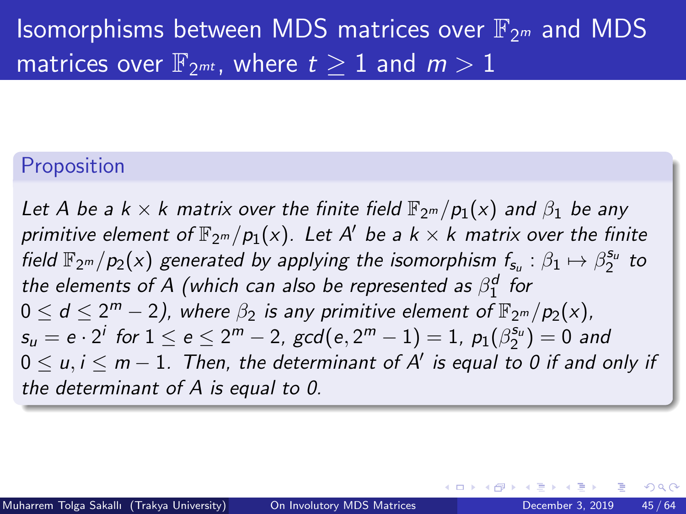#### Proposition

Let A be a  $k \times k$  matrix over the finite field  $\mathbb{F}_{2^m}/p_1(x)$  and  $\beta_1$  be any primitive element of  $\mathbb{F}_{2^m}/p_1(\mathsf{x})$ . Let A' be a k  $\times$  k matrix over the finite field  $\mathbb{F}_{2^m}/p_2(x)$  generated by applying the isomorphism  $f_{s_u}:\beta_1\mapsto \beta_2^{s_u}$  to the elements of A (which can also be represented as  $\beta_1^d$  for  $0\leq d\leq 2^m-2)$ , where  $\beta_2$  is any primitive element of  $\mathbb{F}_{2^m}/p_2(\times)$ ,  $s_u=e\cdot2^i$  for  $1\leq e\leq2^m-2$ ,  $\gcd(e,2^m-1)=1$ ,  $p_1(\beta_2^{s_u})=0$  and  $0\leq u,i\leq m-1.$  Then, the determinant of  $\mathsf{A}'$  is equal to 0 if and only if the determinant of A is equal to 0.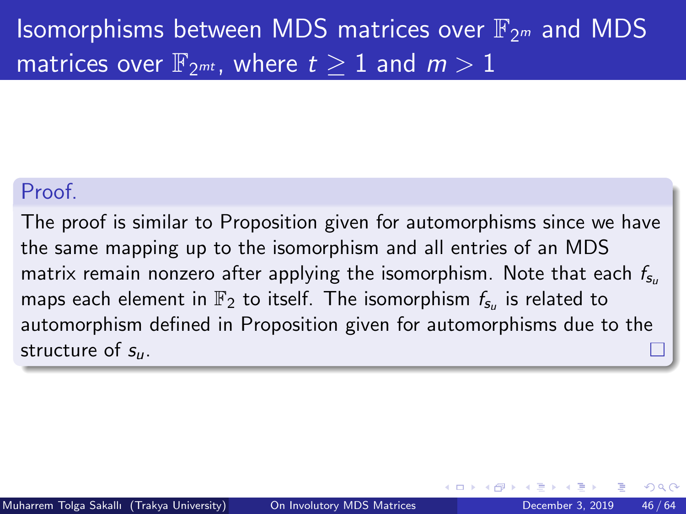#### Proof.

The proof is similar to Proposition given for automorphisms since we have the same mapping up to the isomorphism and all entries of an MDS matrix remain nonzero after applying the isomorphism. Note that each  $f_{s_{u}}$ maps each element in  $\mathbb{F}_2$  to itself. The isomorphism  $f_{\mathsf{s}_u}$  is related to automorphism defined in Proposition given for automorphisms due to the structure of  $s_{\mu}$ .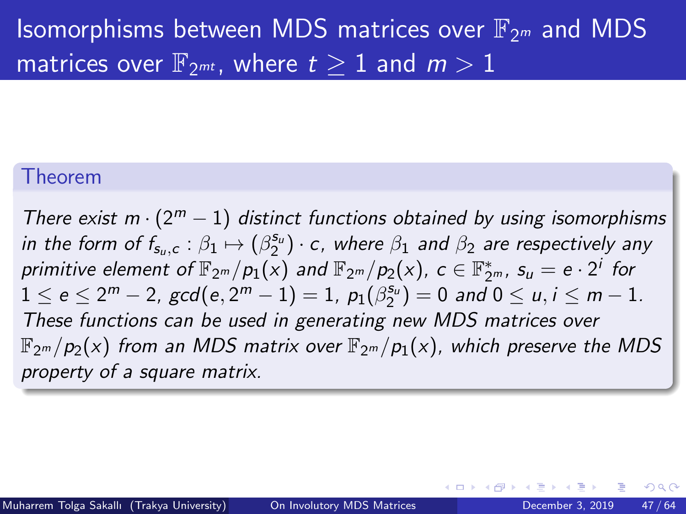#### Theorem

There exist m  $\cdot$  (2<sup>m</sup> - 1) distinct functions obtained by using isomorphisms in the form of  $f_{s_u,c} : \beta_1 \mapsto (\beta_2^{s_u}) \cdot c$ , where  $\beta_1$  and  $\beta_2$  are respectively any primitive element of  $\mathbb{F}_{2^m}/p_1(\bar{x})$  and  $\mathbb{F}_{2^m}/p_2(x)$ ,  $c\in \mathbb{F}_{2^m}^*$ ,  $s_u=e\cdot 2^i$  for  $1\leq \mathsf{e}\leq 2^m-2$ ,  $\gcd(\mathsf{e},2^m-1)=1$ ,  $\rho_1(\beta_2^{\mathsf{s}_u})=0$  and  $0\leq u,i\leq m-1$ . These functions can be used in generating new MDS matrices over  $\mathbb{F}_{2^m}/p_2(x)$  from an MDS matrix over  $\mathbb{F}_{2^m}/p_1(x)$ , which preserve the MDS property of a square matrix.

つへへ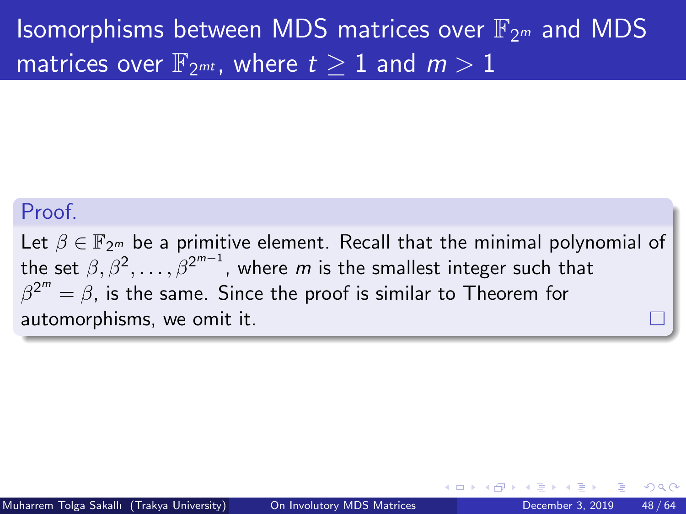#### Proof.

Let  $\beta \in \mathbb{F}_{2^m}$  be a primitive element. Recall that the minimal polynomial of the set  $\beta,\beta^2,\ldots,\beta^{2^{m-1}}$ , where  $m$  is the smallest integer such that  $\beta^{2^{m}}=\beta$ , is the same. Since the proof is similar to Theorem for automorphisms, we omit it.

つひひ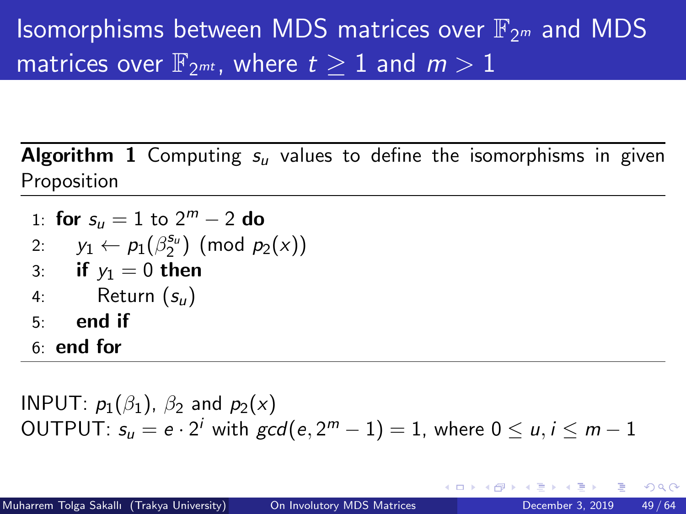**Algorithm 1** Computing  $s_{ij}$  values to define the isomorphisms in given Proposition

- <span id="page-48-0"></span>1: for  $s_u = 1$  to  $2^m - 2$  do
- 2:  $y_1 \leftarrow p_1(\beta_2^{s_u}) \pmod{p_2(x)}$
- 3: if  $y_1 = 0$  then
- 4: Return  $(s_{ii})$
- $5<sup>°</sup>$  end if
- 6: end for

INPUT:  $p_1(\beta_1)$ ,  $\beta_2$  and  $p_2(x)$ OUTPUT:  $s_u = e \cdot 2^i$  with  $\gcd(e, 2^m-1) = 1$ , where  $0 \leq u, i \leq m-1$ 

 $QQ$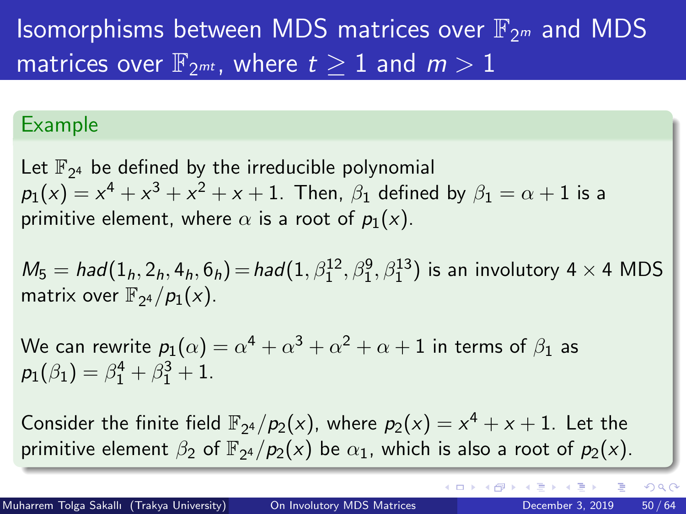#### Example

Let  $\mathbb{F}_{2^4}$  be defined by the irreducible polynomial  $p_1(\mathsf{x}) = \mathsf{x}^4 + \mathsf{x}^3 + \mathsf{x}^2 + \mathsf{x} + 1$ . Then,  $\beta_1$  defined by  $\beta_1 = \alpha + 1$  is a primitive element, where  $\alpha$  is a root of  $p_1(x)$ .

 $M_5 = had(1_h, 2_h, 4_h, 6_h) = had(1, \beta_1^{12}, \beta_1^{9}, \beta_1^{13})$  is an involutory 4  $\times$  4 MDS matrix over  $\mathbb{F}_{2^4}/p_1(x)$ .

We can rewrite  $p_1(\alpha)=\alpha^4+\alpha^3+\alpha^2+\alpha+1$  in terms of  $\beta_1$  as  $p_1(\beta_1) = \beta_1^4 + \beta_1^3 + 1.$ 

Consider the finite field  $\mathbb{F}_{2^4}/p_2(x)$ , where  $p_2(x) = x^4 + x + 1$ . Let the primitive element  $\beta_2$  of  $\mathbb{F}_{2^4}/p_2(x)$  be  $\alpha_1$ , which is also a root of  $p_2(x)$ .

 $\Omega$ 

イロト イ押ト イヨト イヨ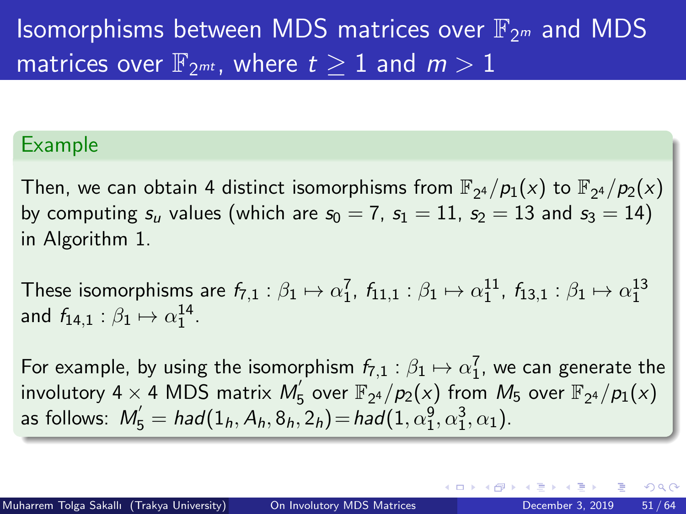#### Example

Then, we can obtain 4 distinct isomorphisms from  $\mathbb{F}_{2^4}/p_1(\mathsf{x})$  to  $\mathbb{F}_{2^4}/p_2(\mathsf{x})$ by computing  $s_u$  values (which are  $s_0 = 7$ ,  $s_1 = 11$ ,  $s_2 = 13$  and  $s_3 = 14$ ) in Algorithm [1.](#page-48-0)

These isomorphisms are  $f_{7,1}:\beta_1\mapsto \alpha_1^7$ ,  $f_{11,1}:\beta_1\mapsto \alpha_1^{11}$ ,  $f_{13,1}:\beta_1\mapsto \alpha_1^{13}$ and  $f_{14,1}:\beta_1\mapsto \alpha_1^{14}.$ 

For example, by using the isomorphism  $f_{7,1}:\beta_1\mapsto \alpha_1^7$ , we can generate the involutory 4  $\times$  4 MDS matrix  $M_{\rm g}^{'}$  $\mathbb{F}_{2^4}/p_2(x)$  from  $M_5$  over  $\mathbb{F}_{2^4}/p_1(x)$ as follows:  $M_5' = had(1_h, A_h, 8_h, 2_h) = had(1, \alpha_1^9, \alpha_1^3, \alpha_1).$ 

∢ ロ ▶ . ∢ 伺 ▶ . ∢ ヨ ▶ . ∢ ヨ ▶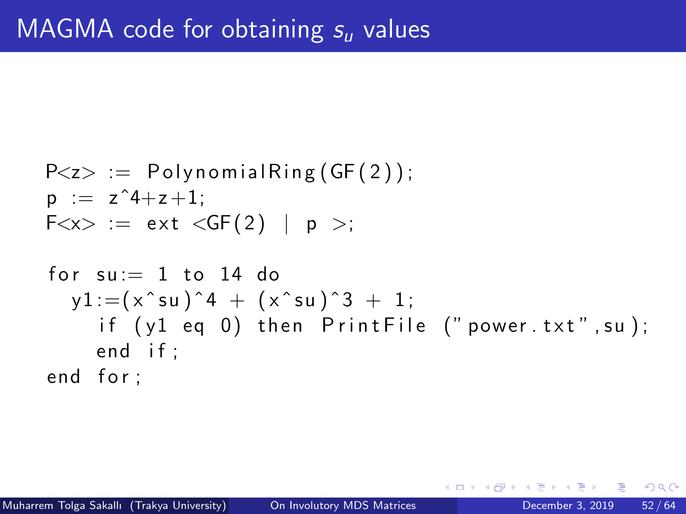$$
P < z > := \text{PolynomialRing}(GF(2));
$$
\n
$$
p := z^4 + z + 1;
$$
\n
$$
F < x > := ext < GF(2) \mid p >;
$$

f o r su := 1 t o 14 do y1 :=( x ˆ su ) ˆ 4 + ( x ˆ su ) ˆ 3 + 1 ; i f ( y1 eq 0 ) t h e n P r i n t F i l e ( " powe r . t x t " , su ) ; end i f ; end f o r ;

4 0 F

∢母→

重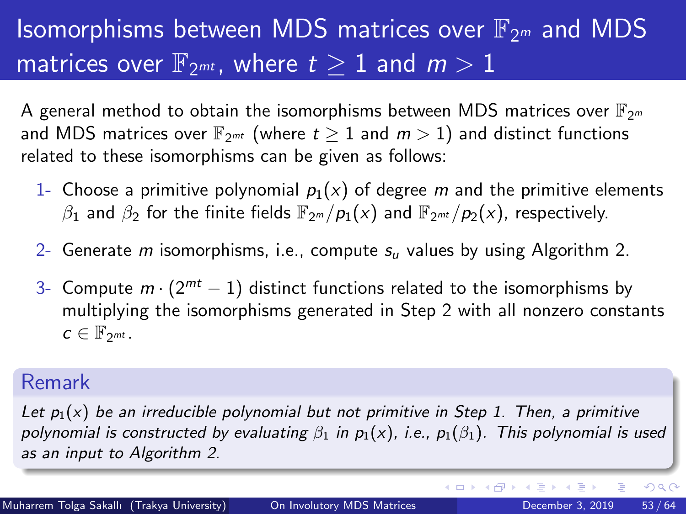A general method to obtain the isomorphisms between MDS matrices over  $\mathbb{F}_{2^m}$ and MDS matrices over  $\mathbb{F}_{2^{mt}}$  (where  $t \geq 1$  and  $m > 1$ ) and distinct functions related to these isomorphisms can be given as follows:

- 1- Choose a primitive polynomial  $p_1(x)$  of degree m and the primitive elements  $\beta_1$  and  $\beta_2$  for the finite fields  $\mathbb{F}_{2^m}/p_1(x)$  and  $\mathbb{F}_{2^{m}}/p_2(x)$ , respectively.
- 2- Generate m isomorphisms, i.e., compute  $s_u$  values by using Algorithm [2.](#page-53-0)
- 3- Compute  $m \cdot (2^{mt} 1)$  distinct functions related to the isomorphisms by multiplying the isomorphisms generated in Step 2 with all nonzero constants  $c \in \mathbb{F}_{2^{mt}}$ .

#### Remark

Let  $p_1(x)$  be an irreducible polynomial but not primitive in Step 1. Then, a primitive polynomial is constructed by evaluating  $\beta_1$  in  $p_1(x)$ , i.e.,  $p_1(\beta_1)$ . This polynomial is used as an input to Algorithm [2.](#page-53-0)

э

 $QQ$ 

イロト イ部 トイモ トイモト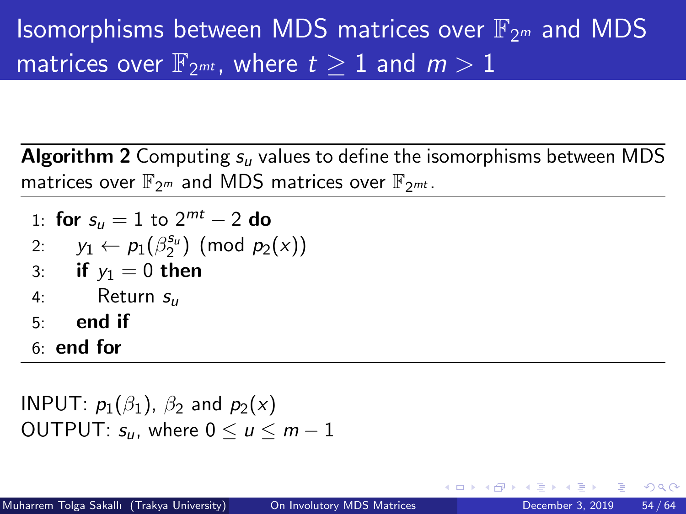**Algorithm 2** Computing  $s_u$  values to define the isomorphisms between MDS matrices over  $\mathbb{F}_{2^m}$  and MDS matrices over  $\mathbb{F}_{2^{mt}}$ .

- <span id="page-53-0"></span>1: for  $s_u = 1$  to  $2^{mt} - 2$  do
- 2:  $y_1 \leftarrow p_1(\beta_2^{s_u}) \pmod{p_2(x)}$
- 3: if  $y_1 = 0$  then
- 4: Return  $s_{\mu}$
- $5:$  end if
- 6: end for

INPUT:  $p_1(\beta_1)$ ,  $\beta_2$  and  $p_2(x)$ OUTPUT:  $s_{\mu}$ , where  $0 \leq \mu \leq m-1$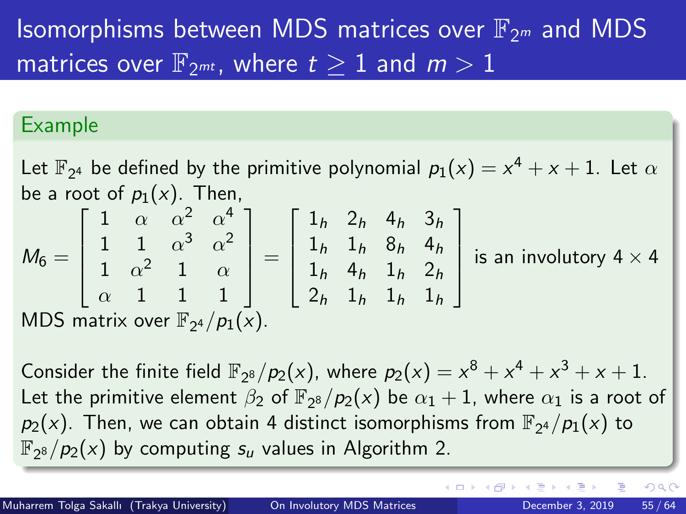#### Example

Let  $\mathbb{F}_{2^4}$  be defined by the primitive polynomial  $p_1(x) = x^4 + x + 1$ . Let  $\alpha$ be a root of  $p_1(x)$ . Then,

$$
M_6 = \begin{bmatrix} 1 & \alpha & \alpha^2 & \alpha^4 \\ 1 & 1 & \alpha^3 & \alpha^2 \\ 1 & \alpha^2 & 1 & \alpha \\ \alpha & 1 & 1 & 1 \end{bmatrix} = \begin{bmatrix} 1_h & 2_h & 4_h & 3_h \\ 1_h & 1_h & 8_h & 4_h \\ 1_h & 4_h & 1_h & 2_h \\ 2_h & 1_h & 1_h & 1_h \end{bmatrix}
$$
 is an involutory  $4 \times 4$   
MDS matrix over  $\mathbb{F}_{2^4}/p_1(x)$ .

Consider the finite field  $\mathbb{F}_{2^8}/p_2(x)$ , where  $p_2(x) = x^8 + x^4 + x^3 + x + 1$ . Let the primitive element  $\beta_2$  of  $\overline{\mathbb{F}}_{2^8}/p_2(x)$  be  $\alpha_1+1$ , where  $\alpha_1$  is a root of  $p_2(x)$ . Then, we can obtain 4 distinct isomorphisms from  $\mathbb{F}_{2^4}/p_1(x)$  to  $\mathbb{F}_{2^8}/p_2(x)$  by computing  $s_u$  values in Algorithm [2.](#page-53-0)

э

 $200$ 

イロト イ押ト イヨト イヨト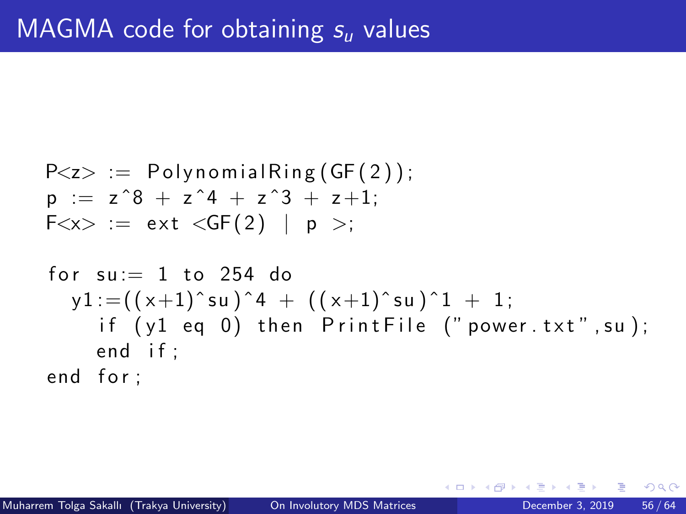$$
P < z > := \text{PolynomialRing}(GF(2));
$$
\n
$$
p := z^8 + z^4 + z^3 + z + 1;
$$
\n
$$
F < x > := ext < GF(2) | p >;
$$

$$
\begin{array}{ll}\n\text{for su := 1 to 254 do} \\
y1 := ((x+1)^s u)^4 + ((x+1)^s u)^1 + 1; \\
\text{if (y1 eq 0) then PrintFile ("power.txt", su);} \\
\text{end if;} \\
\text{end for;}\n\end{array}
$$

4 0 F

∢母→

重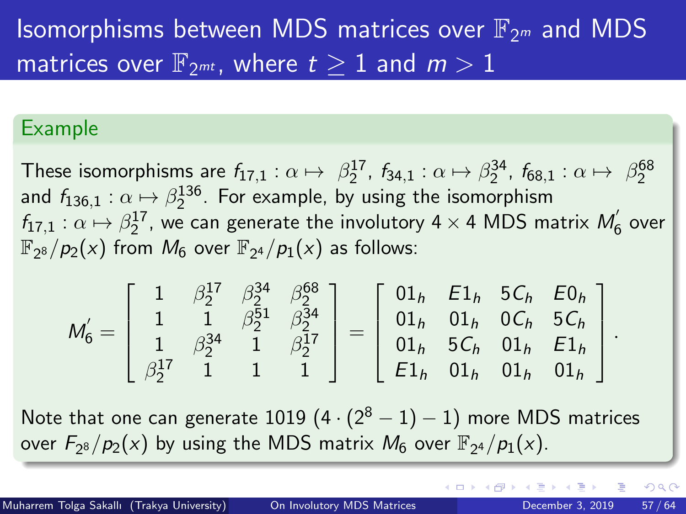#### Example

These isomorphisms are  $f_{17,1}:\alpha\mapsto\ \beta_2^{17}$ ,  $f_{34,1}:\alpha\mapsto\beta_2^{34}$ ,  $f_{68,1}:\alpha\mapsto\ \beta_2^{68}$ and  $f_{136,1}:\alpha\mapsto\beta_2^{136}.$  For example, by using the isomorphism  $f_{17,1}: \alpha \mapsto \beta_2^{17}$ , we can generate the involutory 4  $\times$  4 MDS matrix  $M_{\rm e}^{\prime}$  $\zeta$  over  $\mathbb{F}_{2^8}/p_2(x)$  from  $M_6$  over  $\mathbb{F}_{2^4}/p_1(x)$  as follows:

$$
M_6^{'} = \left[\begin{array}{cccc} 1 & \beta_2^{17} & \beta_2^{34} & \beta_2^{68} \\ 1 & 1 & \beta_2^{51} & \beta_2^{34} \\ 1 & \beta_2^{34} & 1 & \beta_2^{17} \\ \beta_2^{17} & 1 & 1 & 1 \end{array}\right] = \left[\begin{array}{cccc} 01_h & E1_h & 5C_h & E0_h \\ 01_h & 01_h & 0C_h & 5C_h \\ 01_h & 5C_h & 01_h & E1_h \\ E1_h & 01_h & 01_h & 01_h \end{array}\right]
$$

Note that one can generate 1019  $(4 \cdot (2^8 - 1) - 1)$  more MDS matrices over  $F_{2^8}/p_2(x)$  by using the MDS matrix  $M_6$  over  $\mathbb{F}_{2^4}/p_1(x)$ .

( □ ) ( <sub>□</sub> ) (

 $\Omega$ 

.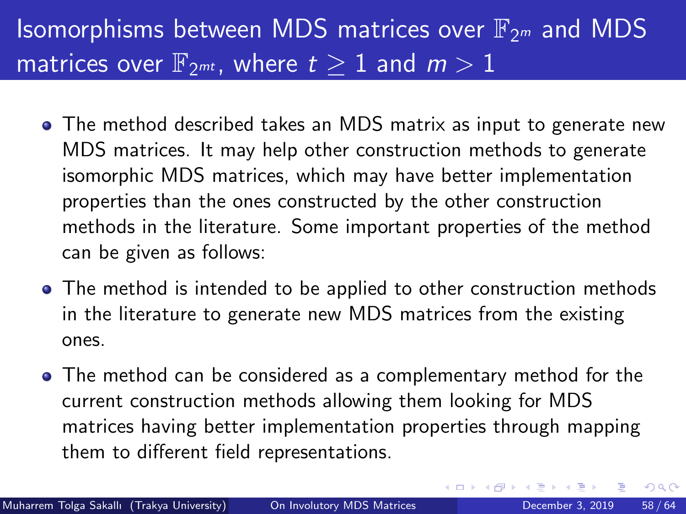- The method described takes an MDS matrix as input to generate new MDS matrices. It may help other construction methods to generate isomorphic MDS matrices, which may have better implementation properties than the ones constructed by the other construction methods in the literature. Some important properties of the method can be given as follows:
- The method is intended to be applied to other construction methods in the literature to generate new MDS matrices from the existing ones.
- The method can be considered as a complementary method for the current construction methods allowing them looking for MDS matrices having better implementation properties through mapping them to different field representations.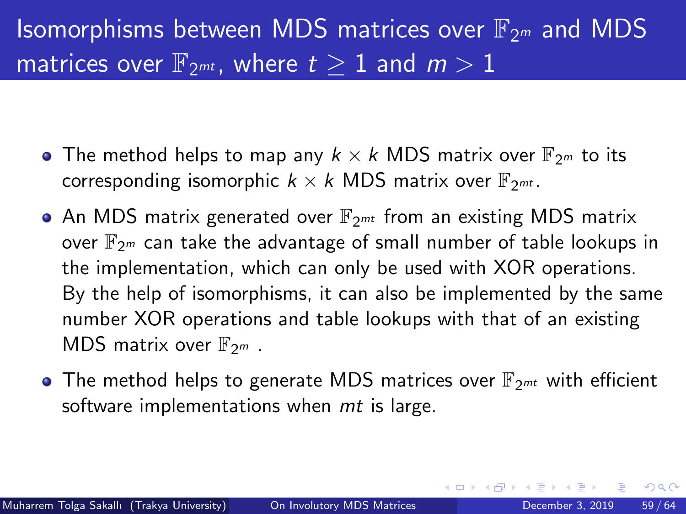- The method helps to map any  $k \times k$  MDS matrix over  $\mathbb{F}_{2^m}$  to its corresponding isomorphic  $k \times k$  MDS matrix over  $\mathbb{F}_{2^{mt}}$ .
- An MDS matrix generated over  $\mathbb{F}_{2^{mt}}$  from an existing MDS matrix over  $\mathbb{F}_{2m}$  can take the advantage of small number of table lookups in the implementation, which can only be used with XOR operations. By the help of isomorphisms, it can also be implemented by the same number XOR operations and table lookups with that of an existing MDS matrix over  $\mathbb{F}_{2m}$ .
- $\bullet$  The method helps to generate MDS matrices over  $\mathbb{F}_{2^{mt}}$  with efficient software implementations when *mt* is large.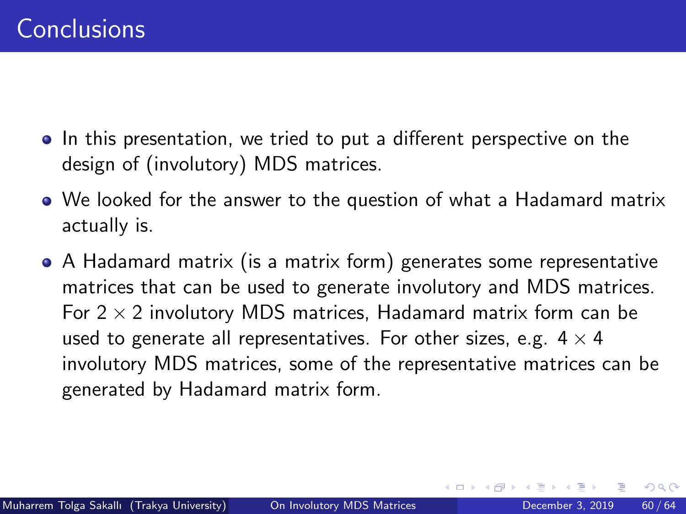- In this presentation, we tried to put a different perspective on the design of (involutory) MDS matrices.
- We looked for the answer to the question of what a Hadamard matrix actually is.
- A Hadamard matrix (is a matrix form) generates some representative matrices that can be used to generate involutory and MDS matrices. For  $2 \times 2$  involutory MDS matrices, Hadamard matrix form can be used to generate all representatives. For other sizes, e.g.  $4 \times 4$ involutory MDS matrices, some of the representative matrices can be generated by Hadamard matrix form.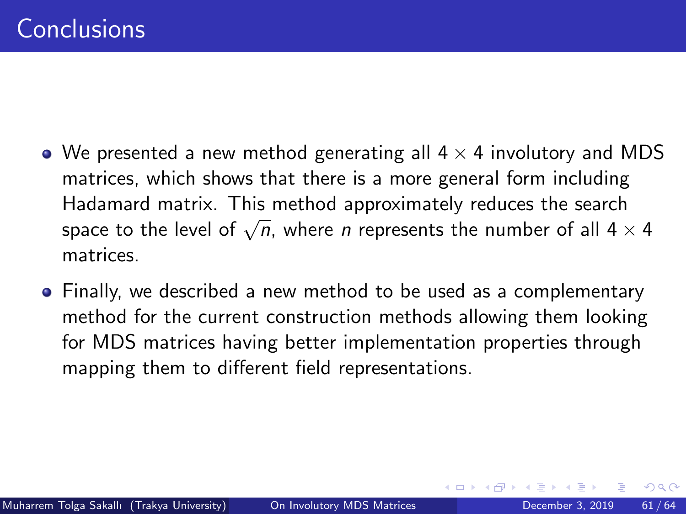- We presented a new method generating all  $4 \times 4$  involutory and MDS matrices, which shows that there is a more general form including Hadamard matrix. This method approximately reduces the search space to the level of  $\sqrt{n}$ , where *n* represents the number of all  $4 \times 4$ matrices.
- Finally, we described a new method to be used as a complementary method for the current construction methods allowing them looking for MDS matrices having better implementation properties through mapping them to different field representations.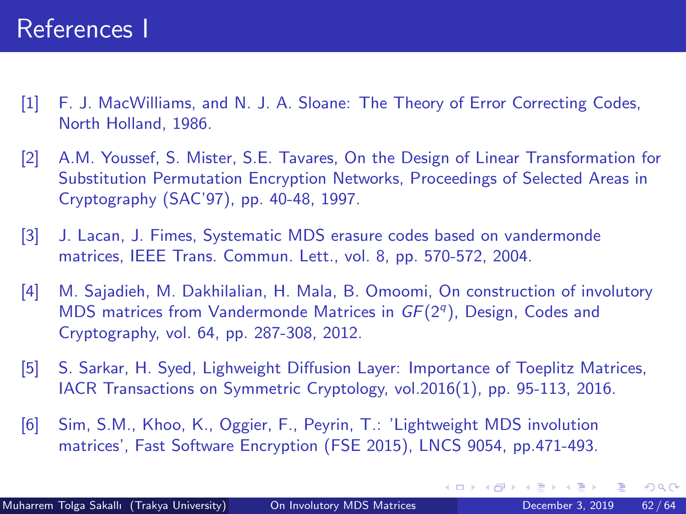- <span id="page-61-0"></span>[1] F. J. MacWilliams, and N. J. A. Sloane: The Theory of Error Correcting Codes, North Holland, 1986.
- <span id="page-61-1"></span>[2] A.M. Youssef, S. Mister, S.E. Tavares, On the Design of Linear Transformation for Substitution Permutation Encryption Networks, Proceedings of Selected Areas in Cryptography (SAC'97), pp. 40-48, 1997.
- <span id="page-61-2"></span>[3] J. Lacan, J. Fimes, Systematic MDS erasure codes based on vandermonde matrices, IEEE Trans. Commun. Lett., vol. 8, pp. 570-572, 2004.
- <span id="page-61-3"></span>[4] M. Sajadieh, M. Dakhilalian, H. Mala, B. Omoomi, On construction of involutory MDS matrices from Vandermonde Matrices in  $GF(2<sup>q</sup>)$ , Design, Codes and Cryptography, vol. 64, pp. 287-308, 2012.
- <span id="page-61-4"></span>[5] S. Sarkar, H. Syed, Lighweight Diffusion Layer: Importance of Toeplitz Matrices, IACR Transactions on Symmetric Cryptology, vol.2016(1), pp. 95-113, 2016.
- <span id="page-61-5"></span>[6] Sim, S.M., Khoo, K., Oggier, F., Peyrin, T.: 'Lightweight MDS involution matrices', Fast Software Encryption (FSE 2015), LNCS 9054, pp.471-493.

 $QQQ$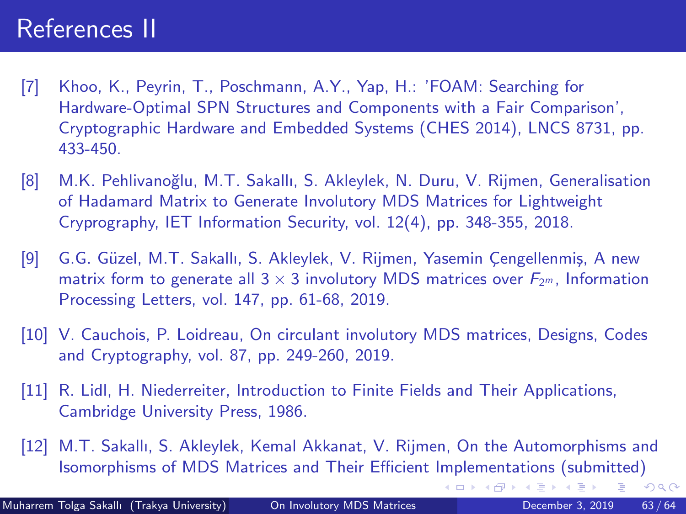### References II

- <span id="page-62-0"></span>[7] Khoo, K., Peyrin, T., Poschmann, A.Y., Yap, H.: 'FOAM: Searching for Hardware-Optimal SPN Structures and Components with a Fair Comparison', Cryptographic Hardware and Embedded Systems (CHES 2014), LNCS 8731, pp. 433-450.
- <span id="page-62-1"></span>[8] M.K. Pehlivanoğlu, M.T. Sakallı, S. Akleylek, N. Duru, V. Rijmen, Generalisation of Hadamard Matrix to Generate Involutory MDS Matrices for Lightweight Cryprography, IET Information Security, vol. 12(4), pp. 348-355, 2018.
- <span id="page-62-2"></span>[9] G.G. Güzel, M.T. Sakallı, S. Akleylek, V. Rijmen, Yasemin Çengellenmiş, A new matrix form to generate all  $3 \times 3$  involutory MDS matrices over  $F_{2m}$ , Information Processing Letters, vol. 147, pp. 61-68, 2019.
- <span id="page-62-3"></span>[10] V. Cauchois, P. Loidreau, On circulant involutory MDS matrices, Designs, Codes and Cryptography, vol. 87, pp. 249-260, 2019.
- <span id="page-62-4"></span>[11] R. Lidl, H. Niederreiter, Introduction to Finite Fields and Their Applications, Cambridge University Press, 1986.

[12] M.T. Sakallı, S. Akleylek, Kemal Akkanat, V. Rijmen, On the Automorphisms and Isomorphisms of MDS Matrices and Their Efficient Implementations (submitted)

 $298$